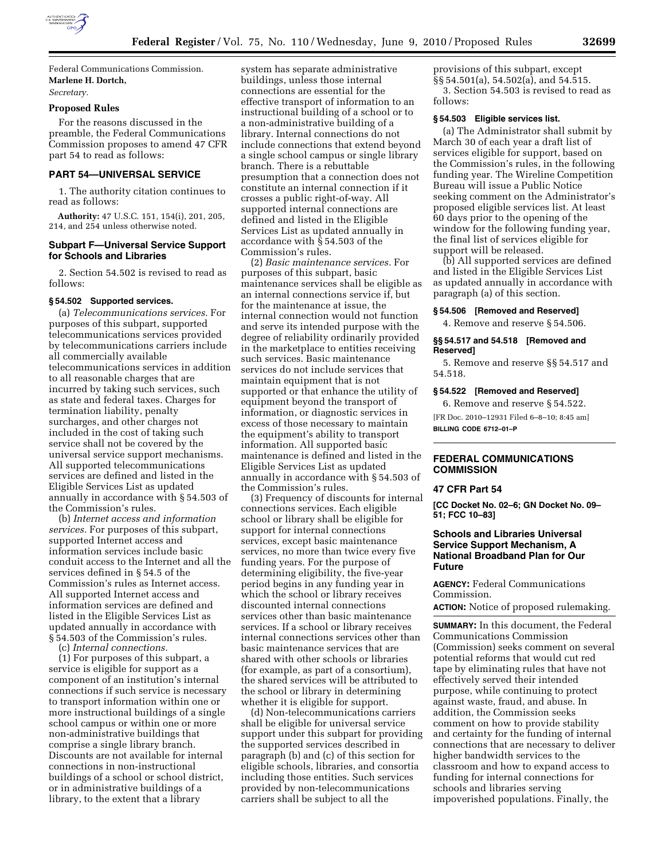

Federal Communications Commission. **Marlene H. Dortch,**  *Secretary.* 

# **Proposed Rules**

For the reasons discussed in the preamble, the Federal Communications Commission proposes to amend 47 CFR part 54 to read as follows:

# **PART 54—UNIVERSAL SERVICE**

1. The authority citation continues to read as follows:

**Authority:** 47 U.S.C. 151, 154(i), 201, 205, 214, and 254 unless otherwise noted.

# **Subpart F—Universal Service Support for Schools and Libraries**

2. Section 54.502 is revised to read as follows:

## **§ 54.502 Supported services.**

(a) *Telecommunications services.* For purposes of this subpart, supported telecommunications services provided by telecommunications carriers include all commercially available telecommunications services in addition to all reasonable charges that are incurred by taking such services, such as state and federal taxes. Charges for termination liability, penalty surcharges, and other charges not included in the cost of taking such service shall not be covered by the universal service support mechanisms. All supported telecommunications services are defined and listed in the Eligible Services List as updated annually in accordance with § 54.503 of the Commission's rules.

(b) *Internet access and information services.* For purposes of this subpart, supported Internet access and information services include basic conduit access to the Internet and all the services defined in § 54.5 of the Commission's rules as Internet access. All supported Internet access and information services are defined and listed in the Eligible Services List as updated annually in accordance with § 54.503 of the Commission's rules.

(c) *Internal connections.* 

(1) For purposes of this subpart, a service is eligible for support as a component of an institution's internal connections if such service is necessary to transport information within one or more instructional buildings of a single school campus or within one or more non-administrative buildings that comprise a single library branch. Discounts are not available for internal connections in non-instructional buildings of a school or school district, or in administrative buildings of a library, to the extent that a library

system has separate administrative buildings, unless those internal connections are essential for the effective transport of information to an instructional building of a school or to a non-administrative building of a library. Internal connections do not include connections that extend beyond a single school campus or single library branch. There is a rebuttable presumption that a connection does not constitute an internal connection if it crosses a public right-of-way. All supported internal connections are defined and listed in the Eligible Services List as updated annually in accordance with § 54.503 of the Commission's rules.

(2) *Basic maintenance services.* For purposes of this subpart, basic maintenance services shall be eligible as an internal connections service if, but for the maintenance at issue, the internal connection would not function and serve its intended purpose with the degree of reliability ordinarily provided in the marketplace to entities receiving such services. Basic maintenance services do not include services that maintain equipment that is not supported or that enhance the utility of equipment beyond the transport of information, or diagnostic services in excess of those necessary to maintain the equipment's ability to transport information. All supported basic maintenance is defined and listed in the Eligible Services List as updated annually in accordance with § 54.503 of the Commission's rules.

(3) Frequency of discounts for internal connections services. Each eligible school or library shall be eligible for support for internal connections services, except basic maintenance services, no more than twice every five funding years. For the purpose of determining eligibility, the five-year period begins in any funding year in which the school or library receives discounted internal connections services other than basic maintenance services. If a school or library receives internal connections services other than basic maintenance services that are shared with other schools or libraries (for example, as part of a consortium), the shared services will be attributed to the school or library in determining whether it is eligible for support.

(d) Non-telecommunications carriers shall be eligible for universal service support under this subpart for providing the supported services described in paragraph (b) and (c) of this section for eligible schools, libraries, and consortia including those entities. Such services provided by non-telecommunications carriers shall be subject to all the

provisions of this subpart, except §§ 54.501(a), 54.502(a), and 54.515. 3. Section 54.503 is revised to read as follows:

## **§ 54.503 Eligible services list.**

(a) The Administrator shall submit by March 30 of each year a draft list of services eligible for support, based on the Commission's rules, in the following funding year. The Wireline Competition Bureau will issue a Public Notice seeking comment on the Administrator's proposed eligible services list. At least 60 days prior to the opening of the window for the following funding year, the final list of services eligible for support will be released.

(b) All supported services are defined and listed in the Eligible Services List as updated annually in accordance with paragraph (a) of this section.

### **§ 54.506 [Removed and Reserved]**

4. Remove and reserve § 54.506.

## **§§ 54.517 and 54.518 [Removed and Reserved]**

5. Remove and reserve §§ 54.517 and 54.518.

## **§ 54.522 [Removed and Reserved]**

6. Remove and reserve § 54.522. [FR Doc. 2010–12931 Filed 6–8–10; 8:45 am] **BILLING CODE 6712–01–P** 

# **FEDERAL COMMUNICATIONS COMMISSION**

## **47 CFR Part 54**

**[CC Docket No. 02–6; GN Docket No. 09– 51; FCC 10–83]** 

# **Schools and Libraries Universal Service Support Mechanism, A National Broadband Plan for Our Future**

**AGENCY:** Federal Communications Commission.

**ACTION:** Notice of proposed rulemaking.

**SUMMARY:** In this document, the Federal Communications Commission (Commission) seeks comment on several potential reforms that would cut red tape by eliminating rules that have not effectively served their intended purpose, while continuing to protect against waste, fraud, and abuse. In addition, the Commission seeks comment on how to provide stability and certainty for the funding of internal connections that are necessary to deliver higher bandwidth services to the classroom and how to expand access to funding for internal connections for schools and libraries serving impoverished populations. Finally, the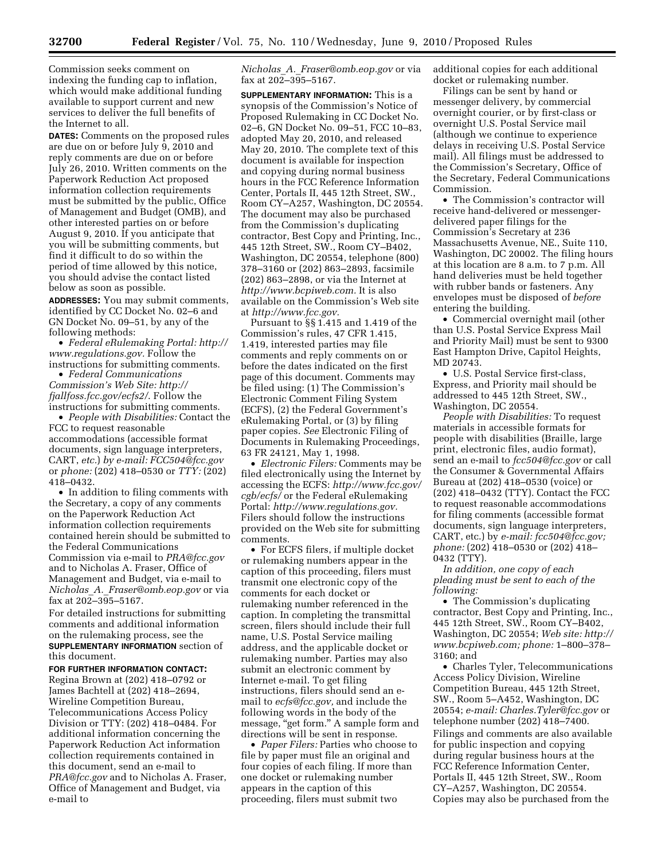Commission seeks comment on indexing the funding cap to inflation, which would make additional funding available to support current and new services to deliver the full benefits of the Internet to all.

**DATES:** Comments on the proposed rules are due on or before July 9, 2010 and reply comments are due on or before July 26, 2010. Written comments on the Paperwork Reduction Act proposed information collection requirements must be submitted by the public, Office of Management and Budget (OMB), and other interested parties on or before August 9, 2010. If you anticipate that you will be submitting comments, but find it difficult to do so within the period of time allowed by this notice, you should advise the contact listed below as soon as possible.

**ADDRESSES:** You may submit comments, identified by CC Docket No. 02–6 and GN Docket No. 09–51, by any of the following methods:

• *Federal eRulemaking Portal: http:// www.regulations.gov.* Follow the instructions for submitting comments.

• *Federal Communications Commission's Web Site: http:// fjallfoss.fcc.gov/ecfs2/*. Follow the instructions for submitting comments.

• *People with Disabilities:* Contact the FCC to request reasonable accommodations (accessible format documents, sign language interpreters, CART, *etc.*) *by e-mail: FCC504@fcc.gov*  or *phone:* (202) 418–0530 or *TTY:* (202) 418–0432.

• In addition to filing comments with the Secretary, a copy of any comments on the Paperwork Reduction Act information collection requirements contained herein should be submitted to the Federal Communications Commission via e-mail to *PRA@fcc.gov*  and to Nicholas A. Fraser, Office of Management and Budget, via e-mail to *Nicholas*\_*A.*\_*Fraser@omb.eop.gov* or via fax at 202–395–5167.

For detailed instructions for submitting comments and additional information on the rulemaking process, see the **SUPPLEMENTARY INFORMATION** section of this document.

## **FOR FURTHER INFORMATION CONTACT:**

Regina Brown at (202) 418–0792 or James Bachtell at (202) 418–2694, Wireline Competition Bureau, Telecommunications Access Policy Division or TTY: (202) 418–0484. For additional information concerning the Paperwork Reduction Act information collection requirements contained in this document, send an e-mail to *PRA@fcc.gov* and to Nicholas A. Fraser, Office of Management and Budget, via e-mail to

*Nicholas*\_*A.*\_*Fraser@omb.eop.gov* or via fax at 202–395–5167.

**SUPPLEMENTARY INFORMATION:** This is a synopsis of the Commission's Notice of Proposed Rulemaking in CC Docket No. 02–6, GN Docket No. 09–51, FCC 10–83, adopted May 20, 2010, and released May 20, 2010. The complete text of this document is available for inspection and copying during normal business hours in the FCC Reference Information Center, Portals II, 445 12th Street, SW., Room CY–A257, Washington, DC 20554. The document may also be purchased from the Commission's duplicating contractor, Best Copy and Printing, Inc., 445 12th Street, SW., Room CY–B402, Washington, DC 20554, telephone (800) 378–3160 or (202) 863–2893, facsimile (202) 863–2898, or via the Internet at *http://www.bcpiweb.com.* It is also available on the Commission's Web site at *http://www.fcc.gov.* 

Pursuant to §§ 1.415 and 1.419 of the Commission's rules, 47 CFR 1.415, 1.419, interested parties may file comments and reply comments on or before the dates indicated on the first page of this document. Comments may be filed using: (1) The Commission's Electronic Comment Filing System (ECFS), (2) the Federal Government's eRulemaking Portal, or (3) by filing paper copies. *See* Electronic Filing of Documents in Rulemaking Proceedings, 63 FR 24121, May 1, 1998.

• *Electronic Filers:* Comments may be filed electronically using the Internet by accessing the ECFS: *http://www.fcc.gov/ cgb/ecfs/* or the Federal eRulemaking Portal: *http://www.regulations.gov.*  Filers should follow the instructions provided on the Web site for submitting comments.

• For ECFS filers, if multiple docket or rulemaking numbers appear in the caption of this proceeding, filers must transmit one electronic copy of the comments for each docket or rulemaking number referenced in the caption. In completing the transmittal screen, filers should include their full name, U.S. Postal Service mailing address, and the applicable docket or rulemaking number. Parties may also submit an electronic comment by Internet e-mail. To get filing instructions, filers should send an email to *ecfs@fcc.gov,* and include the following words in the body of the message, "get form." A sample form and directions will be sent in response.

• *Paper Filers:* Parties who choose to file by paper must file an original and four copies of each filing. If more than one docket or rulemaking number appears in the caption of this proceeding, filers must submit two

additional copies for each additional docket or rulemaking number.

Filings can be sent by hand or messenger delivery, by commercial overnight courier, or by first-class or overnight U.S. Postal Service mail (although we continue to experience delays in receiving U.S. Postal Service mail). All filings must be addressed to the Commission's Secretary, Office of the Secretary, Federal Communications Commission.

• The Commission's contractor will receive hand-delivered or messengerdelivered paper filings for the Commission's Secretary at 236 Massachusetts Avenue, NE., Suite 110, Washington, DC 20002. The filing hours at this location are 8 a.m. to 7 p.m. All hand deliveries must be held together with rubber bands or fasteners. Any envelopes must be disposed of *before*  entering the building.

• Commercial overnight mail (other than U.S. Postal Service Express Mail and Priority Mail) must be sent to 9300 East Hampton Drive, Capitol Heights, MD 20743.

• U.S. Postal Service first-class, Express, and Priority mail should be addressed to 445 12th Street, SW., Washington, DC 20554.

*People with Disabilities:* To request materials in accessible formats for people with disabilities (Braille, large print, electronic files, audio format), send an e-mail to *fcc504@fcc.gov* or call the Consumer & Governmental Affairs Bureau at (202) 418–0530 (voice) or (202) 418–0432 (TTY). Contact the FCC to request reasonable accommodations for filing comments (accessible format documents, sign language interpreters, CART, etc.) by *e-mail: fcc504@fcc.gov; phone:* (202) 418–0530 or (202) 418– 0432 (TTY).

*In addition, one copy of each pleading must be sent to each of the following:* 

• The Commission's duplicating contractor, Best Copy and Printing, Inc., 445 12th Street, SW., Room CY–B402, Washington, DC 20554; *Web site: http:// www.bcpiweb.com; phone:* 1–800–378– 3160; and

• Charles Tyler, Telecommunications Access Policy Division, Wireline Competition Bureau, 445 12th Street, SW., Room 5–A452, Washington, DC 20554; *e-mail: Charles.Tyler@fcc.gov* or telephone number (202) 418–7400. Filings and comments are also available for public inspection and copying during regular business hours at the FCC Reference Information Center, Portals II, 445 12th Street, SW., Room CY–A257, Washington, DC 20554. Copies may also be purchased from the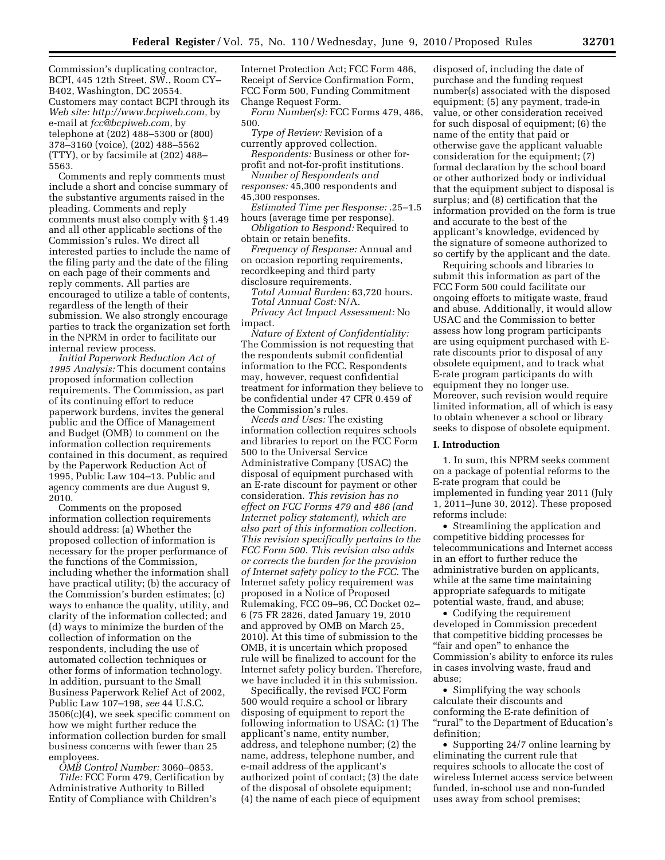Commission's duplicating contractor, BCPI, 445 12th Street, SW., Room CY– B402, Washington, DC 20554. Customers may contact BCPI through its *Web site: http://www.bcpiweb.com,* by e-mail at *fcc@bcpiweb.com,* by telephone at (202) 488–5300 or (800) 378–3160 (voice), (202) 488–5562 (TTY), or by facsimile at (202) 488– 5563.

Comments and reply comments must include a short and concise summary of the substantive arguments raised in the pleading. Comments and reply comments must also comply with § 1.49 and all other applicable sections of the Commission's rules. We direct all interested parties to include the name of the filing party and the date of the filing on each page of their comments and reply comments. All parties are encouraged to utilize a table of contents, regardless of the length of their submission. We also strongly encourage parties to track the organization set forth in the NPRM in order to facilitate our internal review process.

*Initial Paperwork Reduction Act of 1995 Analysis:* This document contains proposed information collection requirements. The Commission, as part of its continuing effort to reduce paperwork burdens, invites the general public and the Office of Management and Budget (OMB) to comment on the information collection requirements contained in this document, as required by the Paperwork Reduction Act of 1995, Public Law 104–13. Public and agency comments are due August 9, 2010.

Comments on the proposed information collection requirements should address: (a) Whether the proposed collection of information is necessary for the proper performance of the functions of the Commission, including whether the information shall have practical utility; (b) the accuracy of the Commission's burden estimates; (c) ways to enhance the quality, utility, and clarity of the information collected; and (d) ways to minimize the burden of the collection of information on the respondents, including the use of automated collection techniques or other forms of information technology. In addition, pursuant to the Small Business Paperwork Relief Act of 2002, Public Law 107–198, *see* 44 U.S.C.  $3506(c)(4)$ , we seek specific comment on how we might further reduce the information collection burden for small business concerns with fewer than 25 employees.

*OMB Control Number:* 3060–0853.

*Title:* FCC Form 479, Certification by Administrative Authority to Billed Entity of Compliance with Children's

Internet Protection Act; FCC Form 486, Receipt of Service Confirmation Form, FCC Form 500, Funding Commitment Change Request Form.

*Form Number(s):* FCC Forms 479, 486, 500.

*Type of Review:* Revision of a currently approved collection.

*Respondents:* Business or other forprofit and not-for-profit institutions.

*Number of Respondents and responses:* 45,300 respondents and 45,300 responses.

*Estimated Time per Response:* .25–1.5 hours (average time per response).

*Obligation to Respond:* Required to obtain or retain benefits.

*Frequency of Response:* Annual and on occasion reporting requirements, recordkeeping and third party disclosure requirements.

*Total Annual Burden:* 63,720 hours. *Total Annual Cost:* N/A.

*Privacy Act Impact Assessment:* No impact.

*Nature of Extent of Confidentiality:*  The Commission is not requesting that the respondents submit confidential information to the FCC. Respondents may, however, request confidential treatment for information they believe to be confidential under 47 CFR 0.459 of the Commission's rules.

*Needs and Uses:* The existing information collection requires schools and libraries to report on the FCC Form 500 to the Universal Service Administrative Company (USAC) the disposal of equipment purchased with an E-rate discount for payment or other consideration. *This revision has no effect on FCC Forms 479 and 486 (and Internet policy statement), which are also part of this information collection. This revision specifically pertains to the FCC Form 500. This revision also adds or corrects the burden for the provision of Internet safety policy to the FCC.* The Internet safety policy requirement was proposed in a Notice of Proposed Rulemaking, FCC 09–96, CC Docket 02– 6 (75 FR 2826, dated January 19, 2010 and approved by OMB on March 25, 2010). At this time of submission to the OMB, it is uncertain which proposed rule will be finalized to account for the Internet safety policy burden. Therefore, we have included it in this submission.

Specifically, the revised FCC Form 500 would require a school or library disposing of equipment to report the following information to USAC: (1) The applicant's name, entity number, address, and telephone number; (2) the name, address, telephone number, and e-mail address of the applicant's authorized point of contact; (3) the date of the disposal of obsolete equipment; (4) the name of each piece of equipment

disposed of, including the date of purchase and the funding request number(s) associated with the disposed equipment; (5) any payment, trade-in value, or other consideration received for such disposal of equipment; (6) the name of the entity that paid or otherwise gave the applicant valuable consideration for the equipment; (7) formal declaration by the school board or other authorized body or individual that the equipment subject to disposal is surplus; and (8) certification that the information provided on the form is true and accurate to the best of the applicant's knowledge, evidenced by the signature of someone authorized to so certify by the applicant and the date.

Requiring schools and libraries to submit this information as part of the FCC Form 500 could facilitate our ongoing efforts to mitigate waste, fraud and abuse. Additionally, it would allow USAC and the Commission to better assess how long program participants are using equipment purchased with Erate discounts prior to disposal of any obsolete equipment, and to track what E-rate program participants do with equipment they no longer use. Moreover, such revision would require limited information, all of which is easy to obtain whenever a school or library seeks to dispose of obsolete equipment.

### **I. Introduction**

1. In sum, this NPRM seeks comment on a package of potential reforms to the E-rate program that could be implemented in funding year 2011 (July 1, 2011–June 30, 2012). These proposed reforms include:

• Streamlining the application and competitive bidding processes for telecommunications and Internet access in an effort to further reduce the administrative burden on applicants, while at the same time maintaining appropriate safeguards to mitigate potential waste, fraud, and abuse;

• Codifying the requirement developed in Commission precedent that competitive bidding processes be "fair and open" to enhance the Commission's ability to enforce its rules in cases involving waste, fraud and abuse;

• Simplifying the way schools calculate their discounts and conforming the E-rate definition of "rural" to the Department of Education's definition;

• Supporting 24/7 online learning by eliminating the current rule that requires schools to allocate the cost of wireless Internet access service between funded, in-school use and non-funded uses away from school premises;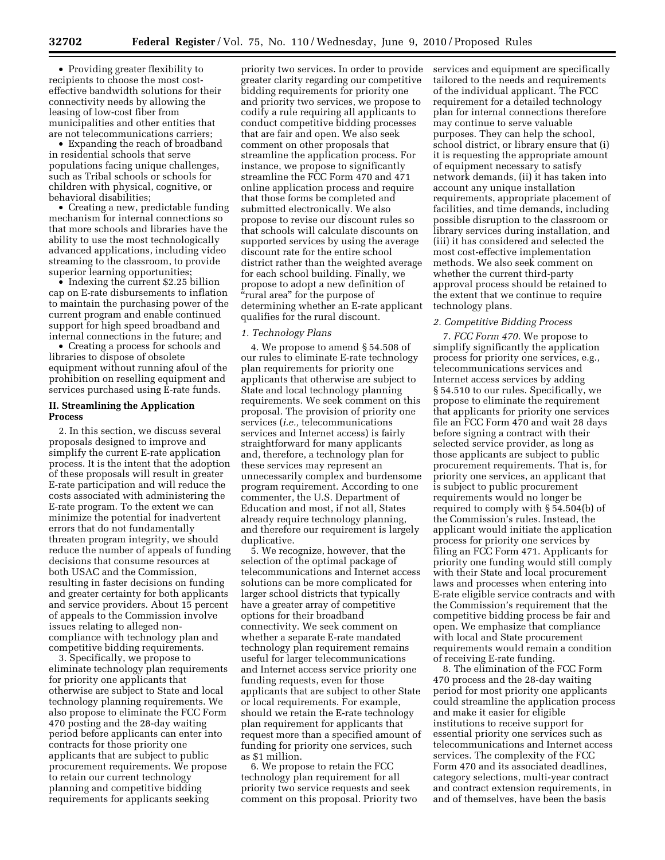• Providing greater flexibility to recipients to choose the most costeffective bandwidth solutions for their connectivity needs by allowing the leasing of low-cost fiber from municipalities and other entities that are not telecommunications carriers;

• Expanding the reach of broadband in residential schools that serve populations facing unique challenges, such as Tribal schools or schools for children with physical, cognitive, or behavioral disabilities;

• Creating a new, predictable funding mechanism for internal connections so that more schools and libraries have the ability to use the most technologically advanced applications, including video streaming to the classroom, to provide superior learning opportunities;

• Indexing the current \$2.25 billion cap on E-rate disbursements to inflation to maintain the purchasing power of the current program and enable continued support for high speed broadband and internal connections in the future; and

• Creating a process for schools and libraries to dispose of obsolete equipment without running afoul of the prohibition on reselling equipment and services purchased using E-rate funds.

# **II. Streamlining the Application Process**

2. In this section, we discuss several proposals designed to improve and simplify the current E-rate application process. It is the intent that the adoption of these proposals will result in greater E-rate participation and will reduce the costs associated with administering the E-rate program. To the extent we can minimize the potential for inadvertent errors that do not fundamentally threaten program integrity, we should reduce the number of appeals of funding decisions that consume resources at both USAC and the Commission, resulting in faster decisions on funding and greater certainty for both applicants and service providers. About 15 percent of appeals to the Commission involve issues relating to alleged noncompliance with technology plan and competitive bidding requirements.

3. Specifically, we propose to eliminate technology plan requirements for priority one applicants that otherwise are subject to State and local technology planning requirements. We also propose to eliminate the FCC Form 470 posting and the 28-day waiting period before applicants can enter into contracts for those priority one applicants that are subject to public procurement requirements. We propose to retain our current technology planning and competitive bidding requirements for applicants seeking

priority two services. In order to provide greater clarity regarding our competitive bidding requirements for priority one and priority two services, we propose to codify a rule requiring all applicants to conduct competitive bidding processes that are fair and open. We also seek comment on other proposals that streamline the application process. For instance, we propose to significantly streamline the FCC Form 470 and 471 online application process and require that those forms be completed and submitted electronically. We also propose to revise our discount rules so that schools will calculate discounts on supported services by using the average discount rate for the entire school district rather than the weighted average for each school building. Finally, we propose to adopt a new definition of ''rural area'' for the purpose of determining whether an E-rate applicant qualifies for the rural discount.

# *1. Technology Plans*

4. We propose to amend § 54.508 of our rules to eliminate E-rate technology plan requirements for priority one applicants that otherwise are subject to State and local technology planning requirements. We seek comment on this proposal. The provision of priority one services (*i.e.,* telecommunications services and Internet access) is fairly straightforward for many applicants and, therefore, a technology plan for these services may represent an unnecessarily complex and burdensome program requirement. According to one commenter, the U.S. Department of Education and most, if not all, States already require technology planning, and therefore our requirement is largely duplicative.

5. We recognize, however, that the selection of the optimal package of telecommunications and Internet access solutions can be more complicated for larger school districts that typically have a greater array of competitive options for their broadband connectivity. We seek comment on whether a separate E-rate mandated technology plan requirement remains useful for larger telecommunications and Internet access service priority one funding requests, even for those applicants that are subject to other State or local requirements. For example, should we retain the E-rate technology plan requirement for applicants that request more than a specified amount of funding for priority one services, such as \$1 million.

6. We propose to retain the FCC technology plan requirement for all priority two service requests and seek comment on this proposal. Priority two services and equipment are specifically tailored to the needs and requirements of the individual applicant. The FCC requirement for a detailed technology plan for internal connections therefore may continue to serve valuable purposes. They can help the school, school district, or library ensure that (i) it is requesting the appropriate amount of equipment necessary to satisfy network demands, (ii) it has taken into account any unique installation requirements, appropriate placement of facilities, and time demands, including possible disruption to the classroom or library services during installation, and (iii) it has considered and selected the most cost-effective implementation methods. We also seek comment on whether the current third-party approval process should be retained to the extent that we continue to require technology plans.

## *2. Competitive Bidding Process*

7. *FCC Form 470.* We propose to simplify significantly the application process for priority one services, e.g., telecommunications services and Internet access services by adding § 54.510 to our rules. Specifically, we propose to eliminate the requirement that applicants for priority one services file an FCC Form 470 and wait 28 days before signing a contract with their selected service provider, as long as those applicants are subject to public procurement requirements. That is, for priority one services, an applicant that is subject to public procurement requirements would no longer be required to comply with § 54.504(b) of the Commission's rules. Instead, the applicant would initiate the application process for priority one services by filing an FCC Form 471. Applicants for priority one funding would still comply with their State and local procurement laws and processes when entering into E-rate eligible service contracts and with the Commission's requirement that the competitive bidding process be fair and open. We emphasize that compliance with local and State procurement requirements would remain a condition of receiving E-rate funding.

8. The elimination of the FCC Form 470 process and the 28-day waiting period for most priority one applicants could streamline the application process and make it easier for eligible institutions to receive support for essential priority one services such as telecommunications and Internet access services. The complexity of the FCC Form 470 and its associated deadlines, category selections, multi-year contract and contract extension requirements, in and of themselves, have been the basis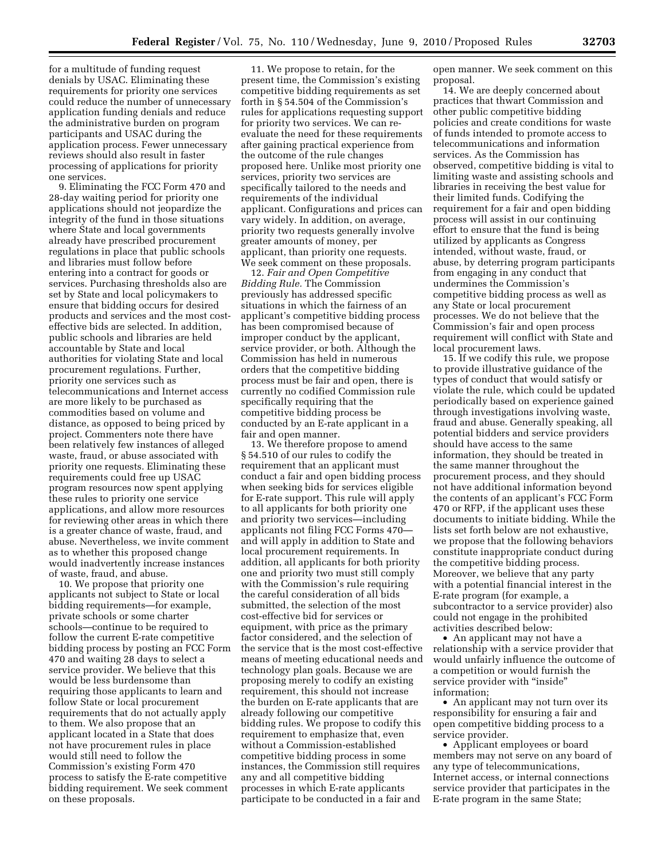for a multitude of funding request denials by USAC. Eliminating these requirements for priority one services could reduce the number of unnecessary application funding denials and reduce the administrative burden on program participants and USAC during the application process. Fewer unnecessary reviews should also result in faster processing of applications for priority one services.

9. Eliminating the FCC Form 470 and 28-day waiting period for priority one applications should not jeopardize the integrity of the fund in those situations where State and local governments already have prescribed procurement regulations in place that public schools and libraries must follow before entering into a contract for goods or services. Purchasing thresholds also are set by State and local policymakers to ensure that bidding occurs for desired products and services and the most costeffective bids are selected. In addition, public schools and libraries are held accountable by State and local authorities for violating State and local procurement regulations. Further, priority one services such as telecommunications and Internet access are more likely to be purchased as commodities based on volume and distance, as opposed to being priced by project. Commenters note there have been relatively few instances of alleged waste, fraud, or abuse associated with priority one requests. Eliminating these requirements could free up USAC program resources now spent applying these rules to priority one service applications, and allow more resources for reviewing other areas in which there is a greater chance of waste, fraud, and abuse. Nevertheless, we invite comment as to whether this proposed change would inadvertently increase instances of waste, fraud, and abuse.

10. We propose that priority one applicants not subject to State or local bidding requirements—for example, private schools or some charter schools—continue to be required to follow the current E-rate competitive bidding process by posting an FCC Form 470 and waiting 28 days to select a service provider. We believe that this would be less burdensome than requiring those applicants to learn and follow State or local procurement requirements that do not actually apply to them. We also propose that an applicant located in a State that does not have procurement rules in place would still need to follow the Commission's existing Form 470 process to satisfy the E-rate competitive bidding requirement. We seek comment on these proposals.

11. We propose to retain, for the present time, the Commission's existing competitive bidding requirements as set forth in § 54.504 of the Commission's rules for applications requesting support for priority two services. We can reevaluate the need for these requirements after gaining practical experience from the outcome of the rule changes proposed here. Unlike most priority one services, priority two services are specifically tailored to the needs and requirements of the individual applicant. Configurations and prices can vary widely. In addition, on average, priority two requests generally involve greater amounts of money, per applicant, than priority one requests. We seek comment on these proposals.

12. *Fair and Open Competitive Bidding Rule.* The Commission previously has addressed specific situations in which the fairness of an applicant's competitive bidding process has been compromised because of improper conduct by the applicant, service provider, or both. Although the Commission has held in numerous orders that the competitive bidding process must be fair and open, there is currently no codified Commission rule specifically requiring that the competitive bidding process be conducted by an E-rate applicant in a fair and open manner.

13. We therefore propose to amend § 54.510 of our rules to codify the requirement that an applicant must conduct a fair and open bidding process when seeking bids for services eligible for E-rate support. This rule will apply to all applicants for both priority one and priority two services—including applicants not filing FCC Forms 470 and will apply in addition to State and local procurement requirements. In addition, all applicants for both priority one and priority two must still comply with the Commission's rule requiring the careful consideration of all bids submitted, the selection of the most cost-effective bid for services or equipment, with price as the primary factor considered, and the selection of the service that is the most cost-effective means of meeting educational needs and technology plan goals. Because we are proposing merely to codify an existing requirement, this should not increase the burden on E-rate applicants that are already following our competitive bidding rules. We propose to codify this requirement to emphasize that, even without a Commission-established competitive bidding process in some instances, the Commission still requires any and all competitive bidding processes in which E-rate applicants participate to be conducted in a fair and

open manner. We seek comment on this proposal.

14. We are deeply concerned about practices that thwart Commission and other public competitive bidding policies and create conditions for waste of funds intended to promote access to telecommunications and information services. As the Commission has observed, competitive bidding is vital to limiting waste and assisting schools and libraries in receiving the best value for their limited funds. Codifying the requirement for a fair and open bidding process will assist in our continuing effort to ensure that the fund is being utilized by applicants as Congress intended, without waste, fraud, or abuse, by deterring program participants from engaging in any conduct that undermines the Commission's competitive bidding process as well as any State or local procurement processes. We do not believe that the Commission's fair and open process requirement will conflict with State and local procurement laws.

15. If we codify this rule, we propose to provide illustrative guidance of the types of conduct that would satisfy or violate the rule, which could be updated periodically based on experience gained through investigations involving waste, fraud and abuse. Generally speaking, all potential bidders and service providers should have access to the same information, they should be treated in the same manner throughout the procurement process, and they should not have additional information beyond the contents of an applicant's FCC Form 470 or RFP, if the applicant uses these documents to initiate bidding. While the lists set forth below are not exhaustive, we propose that the following behaviors constitute inappropriate conduct during the competitive bidding process. Moreover, we believe that any party with a potential financial interest in the E-rate program (for example, a subcontractor to a service provider) also could not engage in the prohibited activities described below:

• An applicant may not have a relationship with a service provider that would unfairly influence the outcome of a competition or would furnish the service provider with "inside" information;

• An applicant may not turn over its responsibility for ensuring a fair and open competitive bidding process to a service provider.

• Applicant employees or board members may not serve on any board of any type of telecommunications, Internet access, or internal connections service provider that participates in the E-rate program in the same State;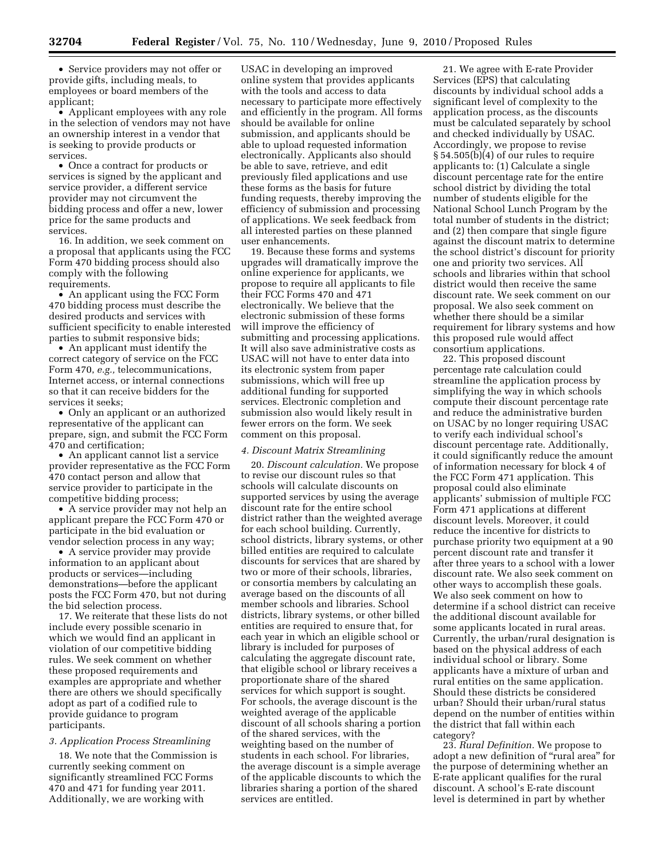• Service providers may not offer or provide gifts, including meals, to employees or board members of the applicant;

• Applicant employees with any role in the selection of vendors may not have an ownership interest in a vendor that is seeking to provide products or services.

• Once a contract for products or services is signed by the applicant and service provider, a different service provider may not circumvent the bidding process and offer a new, lower price for the same products and services.

16. In addition, we seek comment on a proposal that applicants using the FCC Form 470 bidding process should also comply with the following requirements.

• An applicant using the FCC Form 470 bidding process must describe the desired products and services with sufficient specificity to enable interested parties to submit responsive bids;

• An applicant must identify the correct category of service on the FCC Form 470, *e.g.,* telecommunications, Internet access, or internal connections so that it can receive bidders for the services it seeks;

• Only an applicant or an authorized representative of the applicant can prepare, sign, and submit the FCC Form 470 and certification;

• An applicant cannot list a service provider representative as the FCC Form 470 contact person and allow that service provider to participate in the competitive bidding process;

• A service provider may not help an applicant prepare the FCC Form 470 or participate in the bid evaluation or vendor selection process in any way;

• A service provider may provide information to an applicant about products or services—including demonstrations—before the applicant posts the FCC Form 470, but not during the bid selection process.

17. We reiterate that these lists do not include every possible scenario in which we would find an applicant in violation of our competitive bidding rules. We seek comment on whether these proposed requirements and examples are appropriate and whether there are others we should specifically adopt as part of a codified rule to provide guidance to program participants.

## *3. Application Process Streamlining*

18. We note that the Commission is currently seeking comment on significantly streamlined FCC Forms 470 and 471 for funding year 2011. Additionally, we are working with

USAC in developing an improved online system that provides applicants with the tools and access to data necessary to participate more effectively and efficiently in the program. All forms should be available for online submission, and applicants should be able to upload requested information electronically. Applicants also should be able to save, retrieve, and edit previously filed applications and use these forms as the basis for future funding requests, thereby improving the efficiency of submission and processing of applications. We seek feedback from all interested parties on these planned user enhancements.

19. Because these forms and systems upgrades will dramatically improve the online experience for applicants, we propose to require all applicants to file their FCC Forms 470 and 471 electronically. We believe that the electronic submission of these forms will improve the efficiency of submitting and processing applications. It will also save administrative costs as USAC will not have to enter data into its electronic system from paper submissions, which will free up additional funding for supported services. Electronic completion and submission also would likely result in fewer errors on the form. We seek comment on this proposal.

## *4. Discount Matrix Streamlining*

20. *Discount calculation.* We propose to revise our discount rules so that schools will calculate discounts on supported services by using the average discount rate for the entire school district rather than the weighted average for each school building. Currently, school districts, library systems, or other billed entities are required to calculate discounts for services that are shared by two or more of their schools, libraries, or consortia members by calculating an average based on the discounts of all member schools and libraries. School districts, library systems, or other billed entities are required to ensure that, for each year in which an eligible school or library is included for purposes of calculating the aggregate discount rate, that eligible school or library receives a proportionate share of the shared services for which support is sought. For schools, the average discount is the weighted average of the applicable discount of all schools sharing a portion of the shared services, with the weighting based on the number of students in each school. For libraries, the average discount is a simple average of the applicable discounts to which the libraries sharing a portion of the shared services are entitled.

21. We agree with E-rate Provider Services (EPS) that calculating discounts by individual school adds a significant level of complexity to the application process, as the discounts must be calculated separately by school and checked individually by USAC. Accordingly, we propose to revise § 54.505(b)(4) of our rules to require applicants to: (1) Calculate a single discount percentage rate for the entire school district by dividing the total number of students eligible for the National School Lunch Program by the total number of students in the district; and (2) then compare that single figure against the discount matrix to determine the school district's discount for priority one and priority two services. All schools and libraries within that school district would then receive the same discount rate. We seek comment on our proposal. We also seek comment on whether there should be a similar requirement for library systems and how this proposed rule would affect consortium applications.

22. This proposed discount percentage rate calculation could streamline the application process by simplifying the way in which schools compute their discount percentage rate and reduce the administrative burden on USAC by no longer requiring USAC to verify each individual school's discount percentage rate. Additionally, it could significantly reduce the amount of information necessary for block 4 of the FCC Form 471 application. This proposal could also eliminate applicants' submission of multiple FCC Form 471 applications at different discount levels. Moreover, it could reduce the incentive for districts to purchase priority two equipment at a 90 percent discount rate and transfer it after three years to a school with a lower discount rate. We also seek comment on other ways to accomplish these goals. We also seek comment on how to determine if a school district can receive the additional discount available for some applicants located in rural areas. Currently, the urban/rural designation is based on the physical address of each individual school or library. Some applicants have a mixture of urban and rural entities on the same application. Should these districts be considered urban? Should their urban/rural status depend on the number of entities within the district that fall within each category?

23. *Rural Definition.* We propose to adopt a new definition of ''rural area'' for the purpose of determining whether an E-rate applicant qualifies for the rural discount. A school's E-rate discount level is determined in part by whether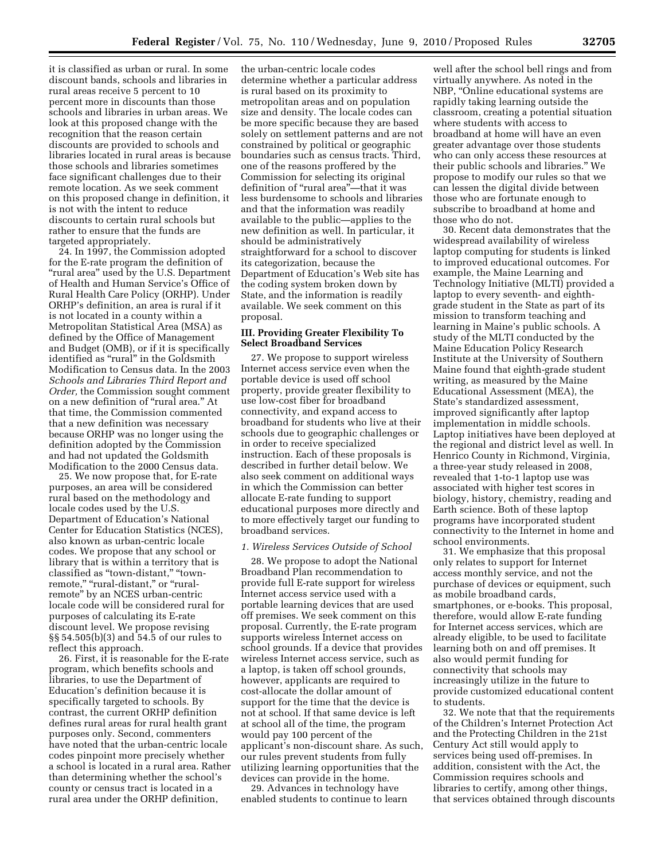it is classified as urban or rural. In some discount bands, schools and libraries in rural areas receive 5 percent to 10 percent more in discounts than those schools and libraries in urban areas. We look at this proposed change with the recognition that the reason certain discounts are provided to schools and libraries located in rural areas is because those schools and libraries sometimes face significant challenges due to their remote location. As we seek comment on this proposed change in definition, it is not with the intent to reduce discounts to certain rural schools but rather to ensure that the funds are targeted appropriately.

24. In 1997, the Commission adopted for the E-rate program the definition of "rural area" used by the U.S. Department of Health and Human Service's Office of Rural Health Care Policy (ORHP). Under ORHP's definition, an area is rural if it is not located in a county within a Metropolitan Statistical Area (MSA) as defined by the Office of Management and Budget (OMB), or if it is specifically identified as "rural" in the Goldsmith Modification to Census data. In the 2003 *Schools and Libraries Third Report and Order,* the Commission sought comment on a new definition of ''rural area.'' At that time, the Commission commented that a new definition was necessary because ORHP was no longer using the definition adopted by the Commission and had not updated the Goldsmith Modification to the 2000 Census data.

25. We now propose that, for E-rate purposes, an area will be considered rural based on the methodology and locale codes used by the U.S. Department of Education's National Center for Education Statistics (NCES), also known as urban-centric locale codes. We propose that any school or library that is within a territory that is classified as ''town-distant,'' ''townremote," "rural-distant," or "ruralremote'' by an NCES urban-centric locale code will be considered rural for purposes of calculating its E-rate discount level. We propose revising §§ 54.505(b)(3) and 54.5 of our rules to reflect this approach.

26. First, it is reasonable for the E-rate program, which benefits schools and libraries, to use the Department of Education's definition because it is specifically targeted to schools. By contrast, the current ORHP definition defines rural areas for rural health grant purposes only. Second, commenters have noted that the urban-centric locale codes pinpoint more precisely whether a school is located in a rural area. Rather than determining whether the school's county or census tract is located in a rural area under the ORHP definition,

the urban-centric locale codes determine whether a particular address is rural based on its proximity to metropolitan areas and on population size and density. The locale codes can be more specific because they are based solely on settlement patterns and are not constrained by political or geographic boundaries such as census tracts. Third, one of the reasons proffered by the Commission for selecting its original definition of ''rural area''—that it was less burdensome to schools and libraries and that the information was readily available to the public—applies to the new definition as well. In particular, it should be administratively straightforward for a school to discover its categorization, because the Department of Education's Web site has the coding system broken down by State, and the information is readily available. We seek comment on this proposal.

# **III. Providing Greater Flexibility To Select Broadband Services**

27. We propose to support wireless Internet access service even when the portable device is used off school property, provide greater flexibility to use low-cost fiber for broadband connectivity, and expand access to broadband for students who live at their schools due to geographic challenges or in order to receive specialized instruction. Each of these proposals is described in further detail below. We also seek comment on additional ways in which the Commission can better allocate E-rate funding to support educational purposes more directly and to more effectively target our funding to broadband services.

#### *1. Wireless Services Outside of School*

28. We propose to adopt the National Broadband Plan recommendation to provide full E-rate support for wireless Internet access service used with a portable learning devices that are used off premises. We seek comment on this proposal. Currently, the E-rate program supports wireless Internet access on school grounds. If a device that provides wireless Internet access service, such as a laptop, is taken off school grounds, however, applicants are required to cost-allocate the dollar amount of support for the time that the device is not at school. If that same device is left at school all of the time, the program would pay 100 percent of the applicant's non-discount share. As such, our rules prevent students from fully utilizing learning opportunities that the devices can provide in the home.

29. Advances in technology have enabled students to continue to learn

well after the school bell rings and from virtually anywhere. As noted in the NBP, ''Online educational systems are rapidly taking learning outside the classroom, creating a potential situation where students with access to broadband at home will have an even greater advantage over those students who can only access these resources at their public schools and libraries.'' We propose to modify our rules so that we can lessen the digital divide between those who are fortunate enough to subscribe to broadband at home and those who do not.

30. Recent data demonstrates that the widespread availability of wireless laptop computing for students is linked to improved educational outcomes. For example, the Maine Learning and Technology Initiative (MLTI) provided a laptop to every seventh- and eighthgrade student in the State as part of its mission to transform teaching and learning in Maine's public schools. A study of the MLTI conducted by the Maine Education Policy Research Institute at the University of Southern Maine found that eighth-grade student writing, as measured by the Maine Educational Assessment (MEA), the State's standardized assessment, improved significantly after laptop implementation in middle schools. Laptop initiatives have been deployed at the regional and district level as well. In Henrico County in Richmond, Virginia, a three-year study released in 2008, revealed that 1-to-1 laptop use was associated with higher test scores in biology, history, chemistry, reading and Earth science. Both of these laptop programs have incorporated student connectivity to the Internet in home and school environments.

31. We emphasize that this proposal only relates to support for Internet access monthly service, and not the purchase of devices or equipment, such as mobile broadband cards, smartphones, or e-books. This proposal, therefore, would allow E-rate funding for Internet access services, which are already eligible, to be used to facilitate learning both on and off premises. It also would permit funding for connectivity that schools may increasingly utilize in the future to provide customized educational content to students.

32. We note that that the requirements of the Children's Internet Protection Act and the Protecting Children in the 21st Century Act still would apply to services being used off-premises. In addition, consistent with the Act, the Commission requires schools and libraries to certify, among other things, that services obtained through discounts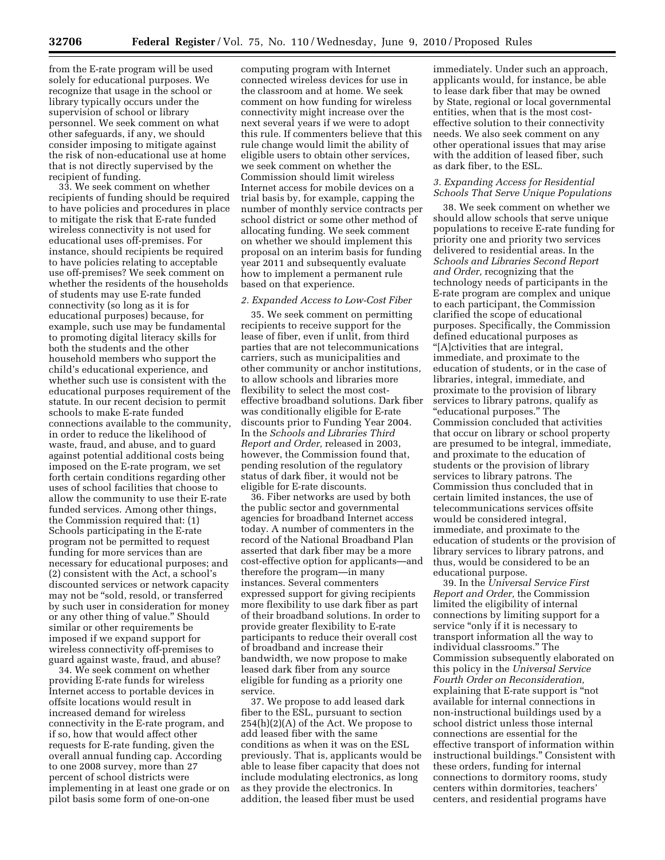from the E-rate program will be used solely for educational purposes. We recognize that usage in the school or library typically occurs under the supervision of school or library personnel. We seek comment on what other safeguards, if any, we should consider imposing to mitigate against the risk of non-educational use at home that is not directly supervised by the recipient of funding.

33. We seek comment on whether recipients of funding should be required to have policies and procedures in place to mitigate the risk that E-rate funded wireless connectivity is not used for educational uses off-premises. For instance, should recipients be required to have policies relating to acceptable use off-premises? We seek comment on whether the residents of the households of students may use E-rate funded connectivity (so long as it is for educational purposes) because, for example, such use may be fundamental to promoting digital literacy skills for both the students and the other household members who support the child's educational experience, and whether such use is consistent with the educational purposes requirement of the statute. In our recent decision to permit schools to make E-rate funded connections available to the community, in order to reduce the likelihood of waste, fraud, and abuse, and to guard against potential additional costs being imposed on the E-rate program, we set forth certain conditions regarding other uses of school facilities that choose to allow the community to use their E-rate funded services. Among other things, the Commission required that: (1) Schools participating in the E-rate program not be permitted to request funding for more services than are necessary for educational purposes; and (2) consistent with the Act, a school's discounted services or network capacity may not be "sold, resold, or transferred by such user in consideration for money or any other thing of value.'' Should similar or other requirements be imposed if we expand support for wireless connectivity off-premises to guard against waste, fraud, and abuse?

34. We seek comment on whether providing E-rate funds for wireless Internet access to portable devices in offsite locations would result in increased demand for wireless connectivity in the E-rate program, and if so, how that would affect other requests for E-rate funding, given the overall annual funding cap. According to one 2008 survey, more than 27 percent of school districts were implementing in at least one grade or on pilot basis some form of one-on-one

computing program with Internet connected wireless devices for use in the classroom and at home. We seek comment on how funding for wireless connectivity might increase over the next several years if we were to adopt this rule. If commenters believe that this rule change would limit the ability of eligible users to obtain other services, we seek comment on whether the Commission should limit wireless Internet access for mobile devices on a trial basis by, for example, capping the number of monthly service contracts per school district or some other method of allocating funding. We seek comment on whether we should implement this proposal on an interim basis for funding year 2011 and subsequently evaluate how to implement a permanent rule based on that experience.

### *2. Expanded Access to Low-Cost Fiber*

35. We seek comment on permitting recipients to receive support for the lease of fiber, even if unlit, from third parties that are not telecommunications carriers, such as municipalities and other community or anchor institutions, to allow schools and libraries more flexibility to select the most costeffective broadband solutions. Dark fiber was conditionally eligible for E-rate discounts prior to Funding Year 2004. In the *Schools and Libraries Third Report and Order,* released in 2003, however, the Commission found that, pending resolution of the regulatory status of dark fiber, it would not be eligible for E-rate discounts.

36. Fiber networks are used by both the public sector and governmental agencies for broadband Internet access today. A number of commenters in the record of the National Broadband Plan asserted that dark fiber may be a more cost-effective option for applicants—and therefore the program—in many instances. Several commenters expressed support for giving recipients more flexibility to use dark fiber as part of their broadband solutions. In order to provide greater flexibility to E-rate participants to reduce their overall cost of broadband and increase their bandwidth, we now propose to make leased dark fiber from any source eligible for funding as a priority one service.

37. We propose to add leased dark fiber to the ESL, pursuant to section  $254(h)(2)(A)$  of the Act. We propose to add leased fiber with the same conditions as when it was on the ESL previously. That is, applicants would be able to lease fiber capacity that does not include modulating electronics, as long as they provide the electronics. In addition, the leased fiber must be used

immediately. Under such an approach, applicants would, for instance, be able to lease dark fiber that may be owned by State, regional or local governmental entities, when that is the most costeffective solution to their connectivity needs. We also seek comment on any other operational issues that may arise with the addition of leased fiber, such as dark fiber, to the ESL.

## *3. Expanding Access for Residential Schools That Serve Unique Populations*

38. We seek comment on whether we should allow schools that serve unique populations to receive E-rate funding for priority one and priority two services delivered to residential areas. In the *Schools and Libraries Second Report and Order,* recognizing that the technology needs of participants in the E-rate program are complex and unique to each participant, the Commission clarified the scope of educational purposes. Specifically, the Commission defined educational purposes as ''[A]ctivities that are integral, immediate, and proximate to the education of students, or in the case of libraries, integral, immediate, and proximate to the provision of library services to library patrons, qualify as ''educational purposes.'' The Commission concluded that activities that occur on library or school property are presumed to be integral, immediate, and proximate to the education of students or the provision of library services to library patrons. The Commission thus concluded that in certain limited instances, the use of telecommunications services offsite would be considered integral, immediate, and proximate to the education of students or the provision of library services to library patrons, and thus, would be considered to be an educational purpose.

39. In the *Universal Service First Report and Order,* the Commission limited the eligibility of internal connections by limiting support for a service "only if it is necessary to transport information all the way to individual classrooms.'' The Commission subsequently elaborated on this policy in the *Universal Service Fourth Order on Reconsideration,*  explaining that E-rate support is ''not available for internal connections in non-instructional buildings used by a school district unless those internal connections are essential for the effective transport of information within instructional buildings.'' Consistent with these orders, funding for internal connections to dormitory rooms, study centers within dormitories, teachers' centers, and residential programs have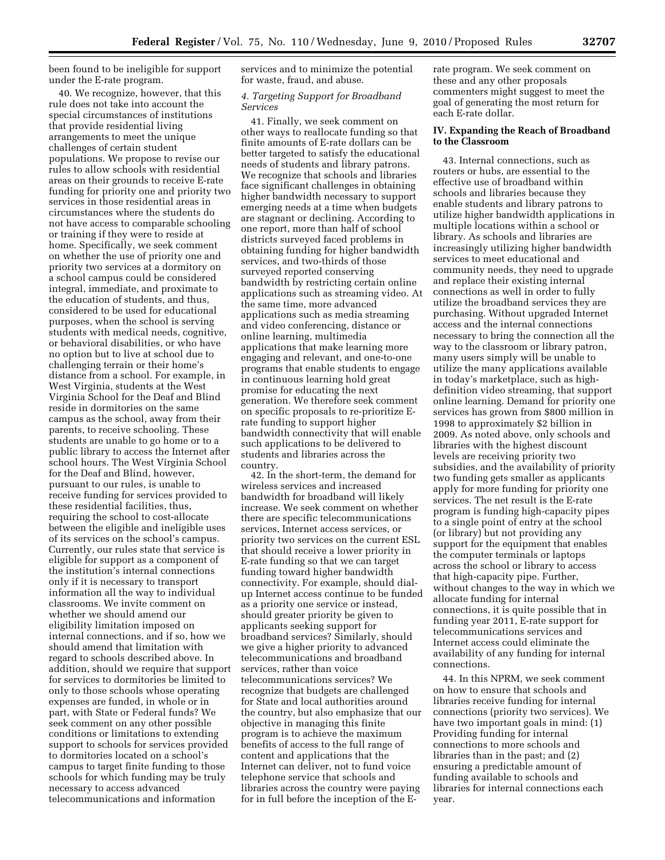been found to be ineligible for support under the E-rate program.

40. We recognize, however, that this rule does not take into account the special circumstances of institutions that provide residential living arrangements to meet the unique challenges of certain student populations. We propose to revise our rules to allow schools with residential areas on their grounds to receive E-rate funding for priority one and priority two services in those residential areas in circumstances where the students do not have access to comparable schooling or training if they were to reside at home. Specifically, we seek comment on whether the use of priority one and priority two services at a dormitory on a school campus could be considered integral, immediate, and proximate to the education of students, and thus, considered to be used for educational purposes, when the school is serving students with medical needs, cognitive, or behavioral disabilities, or who have no option but to live at school due to challenging terrain or their home's distance from a school. For example, in West Virginia, students at the West Virginia School for the Deaf and Blind reside in dormitories on the same campus as the school, away from their parents, to receive schooling. These students are unable to go home or to a public library to access the Internet after school hours. The West Virginia School for the Deaf and Blind, however, pursuant to our rules, is unable to receive funding for services provided to these residential facilities, thus, requiring the school to cost-allocate between the eligible and ineligible uses of its services on the school's campus. Currently, our rules state that service is eligible for support as a component of the institution's internal connections only if it is necessary to transport information all the way to individual classrooms. We invite comment on whether we should amend our eligibility limitation imposed on internal connections, and if so, how we should amend that limitation with regard to schools described above. In addition, should we require that support for services to dormitories be limited to only to those schools whose operating expenses are funded, in whole or in part, with State or Federal funds? We seek comment on any other possible conditions or limitations to extending support to schools for services provided to dormitories located on a school's campus to target finite funding to those schools for which funding may be truly necessary to access advanced telecommunications and information

services and to minimize the potential for waste, fraud, and abuse.

# *4. Targeting Support for Broadband Services*

41. Finally, we seek comment on other ways to reallocate funding so that finite amounts of E-rate dollars can be better targeted to satisfy the educational needs of students and library patrons. We recognize that schools and libraries face significant challenges in obtaining higher bandwidth necessary to support emerging needs at a time when budgets are stagnant or declining. According to one report, more than half of school districts surveyed faced problems in obtaining funding for higher bandwidth services, and two-thirds of those surveyed reported conserving bandwidth by restricting certain online applications such as streaming video. At the same time, more advanced applications such as media streaming and video conferencing, distance or online learning, multimedia applications that make learning more engaging and relevant, and one-to-one programs that enable students to engage in continuous learning hold great promise for educating the next generation. We therefore seek comment on specific proposals to re-prioritize Erate funding to support higher bandwidth connectivity that will enable such applications to be delivered to students and libraries across the country.

42. In the short-term, the demand for wireless services and increased bandwidth for broadband will likely increase. We seek comment on whether there are specific telecommunications services, Internet access services, or priority two services on the current ESL that should receive a lower priority in E-rate funding so that we can target funding toward higher bandwidth connectivity. For example, should dialup Internet access continue to be funded as a priority one service or instead, should greater priority be given to applicants seeking support for broadband services? Similarly, should we give a higher priority to advanced telecommunications and broadband services, rather than voice telecommunications services? We recognize that budgets are challenged for State and local authorities around the country, but also emphasize that our objective in managing this finite program is to achieve the maximum benefits of access to the full range of content and applications that the Internet can deliver, not to fund voice telephone service that schools and libraries across the country were paying for in full before the inception of the E-

rate program. We seek comment on these and any other proposals commenters might suggest to meet the goal of generating the most return for each E-rate dollar.

# **IV. Expanding the Reach of Broadband to the Classroom**

43. Internal connections, such as routers or hubs, are essential to the effective use of broadband within schools and libraries because they enable students and library patrons to utilize higher bandwidth applications in multiple locations within a school or library. As schools and libraries are increasingly utilizing higher bandwidth services to meet educational and community needs, they need to upgrade and replace their existing internal connections as well in order to fully utilize the broadband services they are purchasing. Without upgraded Internet access and the internal connections necessary to bring the connection all the way to the classroom or library patron, many users simply will be unable to utilize the many applications available in today's marketplace, such as highdefinition video streaming, that support online learning. Demand for priority one services has grown from \$800 million in 1998 to approximately \$2 billion in 2009. As noted above, only schools and libraries with the highest discount levels are receiving priority two subsidies, and the availability of priority two funding gets smaller as applicants apply for more funding for priority one services. The net result is the E-rate program is funding high-capacity pipes to a single point of entry at the school (or library) but not providing any support for the equipment that enables the computer terminals or laptops across the school or library to access that high-capacity pipe. Further, without changes to the way in which we allocate funding for internal connections, it is quite possible that in funding year 2011, E-rate support for telecommunications services and Internet access could eliminate the availability of any funding for internal connections.

44. In this NPRM, we seek comment on how to ensure that schools and libraries receive funding for internal connections (priority two services). We have two important goals in mind: (1) Providing funding for internal connections to more schools and libraries than in the past; and (2) ensuring a predictable amount of funding available to schools and libraries for internal connections each year.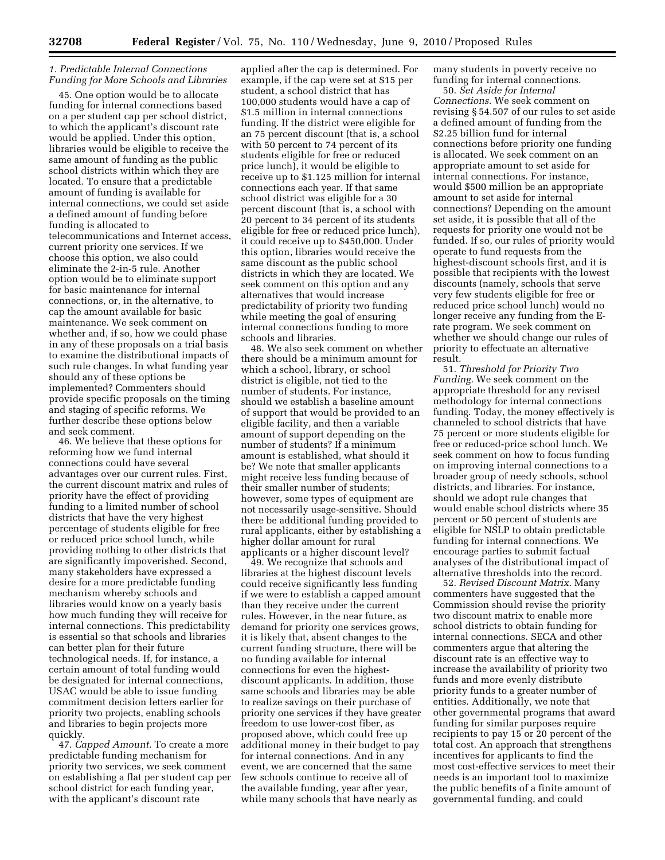## *1. Predictable Internal Connections Funding for More Schools and Libraries*

45. One option would be to allocate funding for internal connections based on a per student cap per school district, to which the applicant's discount rate would be applied. Under this option, libraries would be eligible to receive the same amount of funding as the public school districts within which they are located. To ensure that a predictable amount of funding is available for internal connections, we could set aside a defined amount of funding before funding is allocated to telecommunications and Internet access, current priority one services. If we choose this option, we also could eliminate the 2-in-5 rule. Another option would be to eliminate support for basic maintenance for internal connections, or, in the alternative, to cap the amount available for basic maintenance. We seek comment on whether and, if so, how we could phase in any of these proposals on a trial basis to examine the distributional impacts of such rule changes. In what funding year should any of these options be implemented? Commenters should provide specific proposals on the timing and staging of specific reforms. We further describe these options below and seek comment.

46. We believe that these options for reforming how we fund internal connections could have several advantages over our current rules. First, the current discount matrix and rules of priority have the effect of providing funding to a limited number of school districts that have the very highest percentage of students eligible for free or reduced price school lunch, while providing nothing to other districts that are significantly impoverished. Second, many stakeholders have expressed a desire for a more predictable funding mechanism whereby schools and libraries would know on a yearly basis how much funding they will receive for internal connections. This predictability is essential so that schools and libraries can better plan for their future technological needs. If, for instance, a certain amount of total funding would be designated for internal connections, USAC would be able to issue funding commitment decision letters earlier for priority two projects, enabling schools and libraries to begin projects more quickly.

47. *Capped Amount.* To create a more predictable funding mechanism for priority two services, we seek comment on establishing a flat per student cap per school district for each funding year, with the applicant's discount rate

applied after the cap is determined. For example, if the cap were set at \$15 per student, a school district that has 100,000 students would have a cap of \$1.5 million in internal connections funding. If the district were eligible for an 75 percent discount (that is, a school with 50 percent to 74 percent of its students eligible for free or reduced price lunch), it would be eligible to receive up to \$1.125 million for internal connections each year. If that same school district was eligible for a 30 percent discount (that is, a school with 20 percent to 34 percent of its students eligible for free or reduced price lunch), it could receive up to \$450,000. Under this option, libraries would receive the same discount as the public school districts in which they are located. We seek comment on this option and any alternatives that would increase predictability of priority two funding while meeting the goal of ensuring internal connections funding to more schools and libraries.

48. We also seek comment on whether there should be a minimum amount for which a school, library, or school district is eligible, not tied to the number of students. For instance, should we establish a baseline amount of support that would be provided to an eligible facility, and then a variable amount of support depending on the number of students? If a minimum amount is established, what should it be? We note that smaller applicants might receive less funding because of their smaller number of students; however, some types of equipment are not necessarily usage-sensitive. Should there be additional funding provided to rural applicants, either by establishing a higher dollar amount for rural applicants or a higher discount level?

49. We recognize that schools and libraries at the highest discount levels could receive significantly less funding if we were to establish a capped amount than they receive under the current rules. However, in the near future, as demand for priority one services grows, it is likely that, absent changes to the current funding structure, there will be no funding available for internal connections for even the highestdiscount applicants. In addition, those same schools and libraries may be able to realize savings on their purchase of priority one services if they have greater freedom to use lower-cost fiber, as proposed above, which could free up additional money in their budget to pay for internal connections. And in any event, we are concerned that the same few schools continue to receive all of the available funding, year after year, while many schools that have nearly as

many students in poverty receive no funding for internal connections.

50. *Set Aside for Internal Connections.* We seek comment on revising § 54.507 of our rules to set aside a defined amount of funding from the \$2.25 billion fund for internal connections before priority one funding is allocated. We seek comment on an appropriate amount to set aside for internal connections. For instance, would \$500 million be an appropriate amount to set aside for internal connections? Depending on the amount set aside, it is possible that all of the requests for priority one would not be funded. If so, our rules of priority would operate to fund requests from the highest-discount schools first, and it is possible that recipients with the lowest discounts (namely, schools that serve very few students eligible for free or reduced price school lunch) would no longer receive any funding from the Erate program. We seek comment on whether we should change our rules of priority to effectuate an alternative result.

51. *Threshold for Priority Two Funding.* We seek comment on the appropriate threshold for any revised methodology for internal connections funding. Today, the money effectively is channeled to school districts that have 75 percent or more students eligible for free or reduced-price school lunch. We seek comment on how to focus funding on improving internal connections to a broader group of needy schools, school districts, and libraries. For instance, should we adopt rule changes that would enable school districts where 35 percent or 50 percent of students are eligible for NSLP to obtain predictable funding for internal connections. We encourage parties to submit factual analyses of the distributional impact of alternative thresholds into the record.

52. *Revised Discount Matrix.* Many commenters have suggested that the Commission should revise the priority two discount matrix to enable more school districts to obtain funding for internal connections. SECA and other commenters argue that altering the discount rate is an effective way to increase the availability of priority two funds and more evenly distribute priority funds to a greater number of entities. Additionally, we note that other governmental programs that award funding for similar purposes require recipients to pay 15 or 20 percent of the total cost. An approach that strengthens incentives for applicants to find the most cost-effective services to meet their needs is an important tool to maximize the public benefits of a finite amount of governmental funding, and could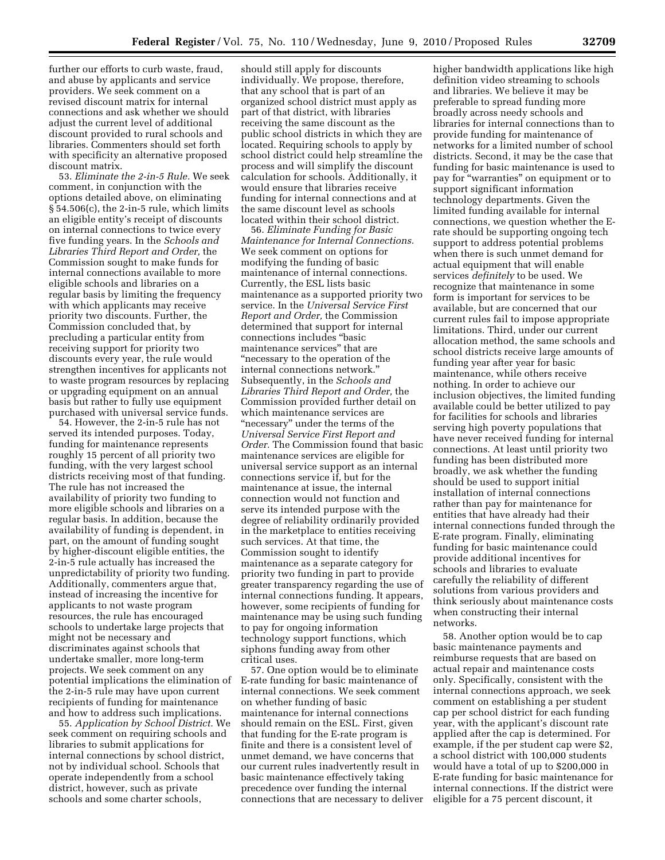further our efforts to curb waste, fraud, and abuse by applicants and service providers. We seek comment on a revised discount matrix for internal connections and ask whether we should adjust the current level of additional discount provided to rural schools and libraries. Commenters should set forth with specificity an alternative proposed discount matrix.

53. *Eliminate the 2-in-5 Rule.* We seek comment, in conjunction with the options detailed above, on eliminating § 54.506(c), the 2-in-5 rule, which limits an eligible entity's receipt of discounts on internal connections to twice every five funding years. In the *Schools and Libraries Third Report and Order,* the Commission sought to make funds for internal connections available to more eligible schools and libraries on a regular basis by limiting the frequency with which applicants may receive priority two discounts. Further, the Commission concluded that, by precluding a particular entity from receiving support for priority two discounts every year, the rule would strengthen incentives for applicants not to waste program resources by replacing or upgrading equipment on an annual basis but rather to fully use equipment purchased with universal service funds.

54. However, the 2-in-5 rule has not served its intended purposes. Today, funding for maintenance represents roughly 15 percent of all priority two funding, with the very largest school districts receiving most of that funding. The rule has not increased the availability of priority two funding to more eligible schools and libraries on a regular basis. In addition, because the availability of funding is dependent, in part, on the amount of funding sought by higher-discount eligible entities, the 2-in-5 rule actually has increased the unpredictability of priority two funding. Additionally, commenters argue that, instead of increasing the incentive for applicants to not waste program resources, the rule has encouraged schools to undertake large projects that might not be necessary and discriminates against schools that undertake smaller, more long-term projects. We seek comment on any potential implications the elimination of the 2-in-5 rule may have upon current recipients of funding for maintenance and how to address such implications.

55. *Application by School District.* We seek comment on requiring schools and libraries to submit applications for internal connections by school district, not by individual school. Schools that operate independently from a school district, however, such as private schools and some charter schools,

should still apply for discounts individually. We propose, therefore, that any school that is part of an organized school district must apply as part of that district, with libraries receiving the same discount as the public school districts in which they are located. Requiring schools to apply by school district could help streamline the process and will simplify the discount calculation for schools. Additionally, it would ensure that libraries receive funding for internal connections and at the same discount level as schools located within their school district.

56. *Eliminate Funding for Basic Maintenance for Internal Connections.*  We seek comment on options for modifying the funding of basic maintenance of internal connections. Currently, the ESL lists basic maintenance as a supported priority two service. In the *Universal Service First Report and Order,* the Commission determined that support for internal connections includes ''basic maintenance services'' that are ''necessary to the operation of the internal connections network.'' Subsequently, in the *Schools and Libraries Third Report and Order,* the Commission provided further detail on which maintenance services are "necessary" under the terms of the *Universal Service First Report and Order.* The Commission found that basic maintenance services are eligible for universal service support as an internal connections service if, but for the maintenance at issue, the internal connection would not function and serve its intended purpose with the degree of reliability ordinarily provided in the marketplace to entities receiving such services. At that time, the Commission sought to identify maintenance as a separate category for priority two funding in part to provide greater transparency regarding the use of internal connections funding. It appears, however, some recipients of funding for maintenance may be using such funding to pay for ongoing information technology support functions, which siphons funding away from other critical uses.

57. One option would be to eliminate E-rate funding for basic maintenance of internal connections. We seek comment on whether funding of basic maintenance for internal connections should remain on the ESL. First, given that funding for the E-rate program is finite and there is a consistent level of unmet demand, we have concerns that our current rules inadvertently result in basic maintenance effectively taking precedence over funding the internal connections that are necessary to deliver higher bandwidth applications like high definition video streaming to schools and libraries. We believe it may be preferable to spread funding more broadly across needy schools and libraries for internal connections than to provide funding for maintenance of networks for a limited number of school districts. Second, it may be the case that funding for basic maintenance is used to pay for ''warranties'' on equipment or to support significant information technology departments. Given the limited funding available for internal connections, we question whether the Erate should be supporting ongoing tech support to address potential problems when there is such unmet demand for actual equipment that will enable services *definitely* to be used. We recognize that maintenance in some form is important for services to be available, but are concerned that our current rules fail to impose appropriate limitations. Third, under our current allocation method, the same schools and school districts receive large amounts of funding year after year for basic maintenance, while others receive nothing. In order to achieve our inclusion objectives, the limited funding available could be better utilized to pay for facilities for schools and libraries serving high poverty populations that have never received funding for internal connections. At least until priority two funding has been distributed more broadly, we ask whether the funding should be used to support initial installation of internal connections rather than pay for maintenance for entities that have already had their internal connections funded through the E-rate program. Finally, eliminating funding for basic maintenance could provide additional incentives for schools and libraries to evaluate carefully the reliability of different solutions from various providers and think seriously about maintenance costs when constructing their internal networks.

58. Another option would be to cap basic maintenance payments and reimburse requests that are based on actual repair and maintenance costs only. Specifically, consistent with the internal connections approach, we seek comment on establishing a per student cap per school district for each funding year, with the applicant's discount rate applied after the cap is determined. For example, if the per student cap were \$2, a school district with 100,000 students would have a total of up to \$200,000 in E-rate funding for basic maintenance for internal connections. If the district were eligible for a 75 percent discount, it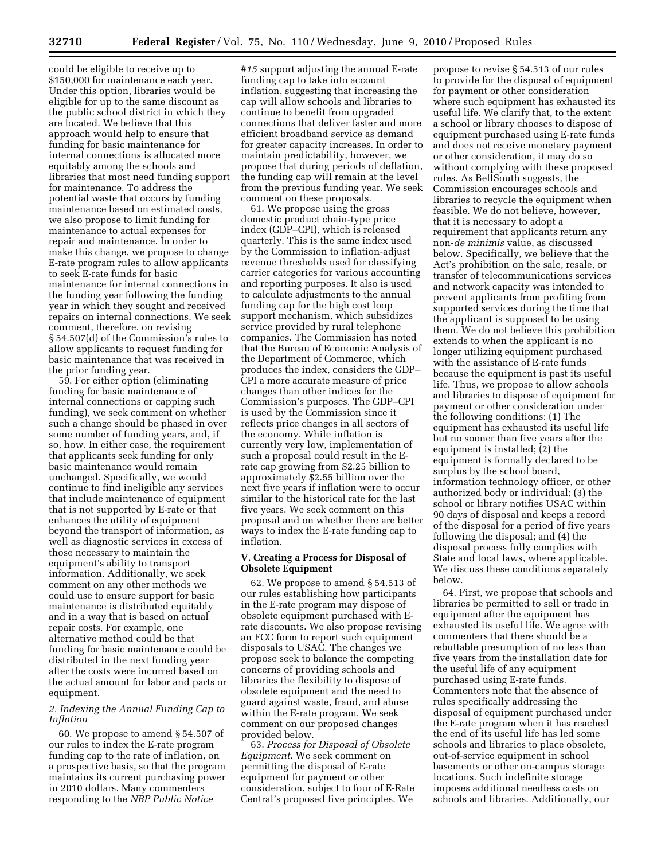could be eligible to receive up to \$150,000 for maintenance each year. Under this option, libraries would be eligible for up to the same discount as the public school district in which they are located. We believe that this approach would help to ensure that funding for basic maintenance for internal connections is allocated more equitably among the schools and libraries that most need funding support for maintenance. To address the potential waste that occurs by funding maintenance based on estimated costs, we also propose to limit funding for maintenance to actual expenses for repair and maintenance. In order to make this change, we propose to change E-rate program rules to allow applicants to seek E-rate funds for basic maintenance for internal connections in the funding year following the funding year in which they sought and received repairs on internal connections. We seek comment, therefore, on revising § 54.507(d) of the Commission's rules to allow applicants to request funding for basic maintenance that was received in the prior funding year.

59. For either option (eliminating funding for basic maintenance of internal connections or capping such funding), we seek comment on whether such a change should be phased in over some number of funding years, and, if so, how. In either case, the requirement that applicants seek funding for only basic maintenance would remain unchanged. Specifically, we would continue to find ineligible any services that include maintenance of equipment that is not supported by E-rate or that enhances the utility of equipment beyond the transport of information, as well as diagnostic services in excess of those necessary to maintain the equipment's ability to transport information. Additionally, we seek comment on any other methods we could use to ensure support for basic maintenance is distributed equitably and in a way that is based on actual repair costs. For example, one alternative method could be that funding for basic maintenance could be distributed in the next funding year after the costs were incurred based on the actual amount for labor and parts or equipment.

# *2. Indexing the Annual Funding Cap to Inflation*

60. We propose to amend § 54.507 of our rules to index the E-rate program funding cap to the rate of inflation, on a prospective basis, so that the program maintains its current purchasing power in 2010 dollars. Many commenters responding to the *NBP Public Notice* 

*#15* support adjusting the annual E-rate funding cap to take into account inflation, suggesting that increasing the cap will allow schools and libraries to continue to benefit from upgraded connections that deliver faster and more efficient broadband service as demand for greater capacity increases. In order to maintain predictability, however, we propose that during periods of deflation, the funding cap will remain at the level from the previous funding year. We seek comment on these proposals.

61. We propose using the gross domestic product chain-type price index (GDP–CPI), which is released quarterly. This is the same index used by the Commission to inflation-adjust revenue thresholds used for classifying carrier categories for various accounting and reporting purposes. It also is used to calculate adjustments to the annual funding cap for the high cost loop support mechanism, which subsidizes service provided by rural telephone companies. The Commission has noted that the Bureau of Economic Analysis of the Department of Commerce, which produces the index, considers the GDP– CPI a more accurate measure of price changes than other indices for the Commission's purposes. The GDP–CPI is used by the Commission since it reflects price changes in all sectors of the economy. While inflation is currently very low, implementation of such a proposal could result in the Erate cap growing from \$2.25 billion to approximately \$2.55 billion over the next five years if inflation were to occur similar to the historical rate for the last five years. We seek comment on this proposal and on whether there are better ways to index the E-rate funding cap to inflation.

# **V. Creating a Process for Disposal of Obsolete Equipment**

62. We propose to amend § 54.513 of our rules establishing how participants in the E-rate program may dispose of obsolete equipment purchased with Erate discounts. We also propose revising an FCC form to report such equipment disposals to USAC. The changes we propose seek to balance the competing concerns of providing schools and libraries the flexibility to dispose of obsolete equipment and the need to guard against waste, fraud, and abuse within the E-rate program. We seek comment on our proposed changes provided below.

63. *Process for Disposal of Obsolete Equipment.* We seek comment on permitting the disposal of E-rate equipment for payment or other consideration, subject to four of E-Rate Central's proposed five principles. We

propose to revise § 54.513 of our rules to provide for the disposal of equipment for payment or other consideration where such equipment has exhausted its useful life. We clarify that, to the extent a school or library chooses to dispose of equipment purchased using E-rate funds and does not receive monetary payment or other consideration, it may do so without complying with these proposed rules. As BellSouth suggests, the Commission encourages schools and libraries to recycle the equipment when feasible. We do not believe, however, that it is necessary to adopt a requirement that applicants return any non-*de minimis* value, as discussed below. Specifically, we believe that the Act's prohibition on the sale, resale, or transfer of telecommunications services and network capacity was intended to prevent applicants from profiting from supported services during the time that the applicant is supposed to be using them. We do not believe this prohibition extends to when the applicant is no longer utilizing equipment purchased with the assistance of E-rate funds because the equipment is past its useful life. Thus, we propose to allow schools and libraries to dispose of equipment for payment or other consideration under the following conditions: (1) The equipment has exhausted its useful life but no sooner than five years after the equipment is installed; (2) the equipment is formally declared to be surplus by the school board, information technology officer, or other authorized body or individual; (3) the school or library notifies USAC within 90 days of disposal and keeps a record of the disposal for a period of five years following the disposal; and (4) the disposal process fully complies with State and local laws, where applicable. We discuss these conditions separately below.

64. First, we propose that schools and libraries be permitted to sell or trade in equipment after the equipment has exhausted its useful life. We agree with commenters that there should be a rebuttable presumption of no less than five years from the installation date for the useful life of any equipment purchased using E-rate funds. Commenters note that the absence of rules specifically addressing the disposal of equipment purchased under the E-rate program when it has reached the end of its useful life has led some schools and libraries to place obsolete, out-of-service equipment in school basements or other on-campus storage locations. Such indefinite storage imposes additional needless costs on schools and libraries. Additionally, our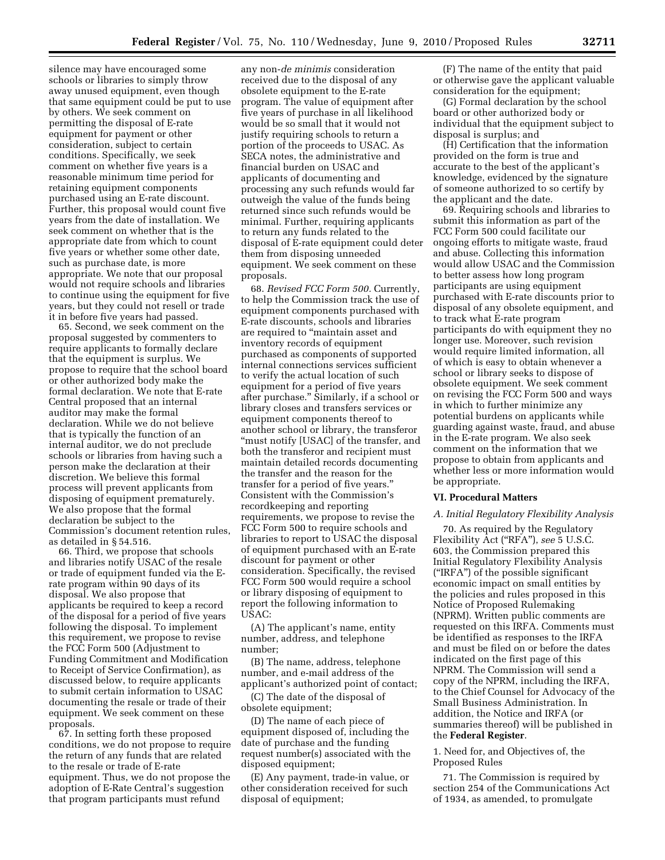silence may have encouraged some schools or libraries to simply throw away unused equipment, even though that same equipment could be put to use by others. We seek comment on permitting the disposal of E-rate equipment for payment or other consideration, subject to certain conditions. Specifically, we seek comment on whether five years is a reasonable minimum time period for retaining equipment components purchased using an E-rate discount. Further, this proposal would count five years from the date of installation. We seek comment on whether that is the appropriate date from which to count five years or whether some other date, such as purchase date, is more appropriate. We note that our proposal would not require schools and libraries to continue using the equipment for five years, but they could not resell or trade it in before five years had passed.

65. Second, we seek comment on the proposal suggested by commenters to require applicants to formally declare that the equipment is surplus. We propose to require that the school board or other authorized body make the formal declaration. We note that E-rate Central proposed that an internal auditor may make the formal declaration. While we do not believe that is typically the function of an internal auditor, we do not preclude schools or libraries from having such a person make the declaration at their discretion. We believe this formal process will prevent applicants from disposing of equipment prematurely. We also propose that the formal declaration be subject to the Commission's document retention rules, as detailed in § 54.516.

66. Third, we propose that schools and libraries notify USAC of the resale or trade of equipment funded via the Erate program within 90 days of its disposal. We also propose that applicants be required to keep a record of the disposal for a period of five years following the disposal. To implement this requirement, we propose to revise the FCC Form 500 (Adjustment to Funding Commitment and Modification to Receipt of Service Confirmation), as discussed below, to require applicants to submit certain information to USAC documenting the resale or trade of their equipment. We seek comment on these proposals.

67. In setting forth these proposed conditions, we do not propose to require the return of any funds that are related to the resale or trade of E-rate equipment. Thus, we do not propose the adoption of E-Rate Central's suggestion that program participants must refund

any non-*de minimis* consideration received due to the disposal of any obsolete equipment to the E-rate program. The value of equipment after five years of purchase in all likelihood would be so small that it would not justify requiring schools to return a portion of the proceeds to USAC. As SECA notes, the administrative and financial burden on USAC and applicants of documenting and processing any such refunds would far outweigh the value of the funds being returned since such refunds would be minimal. Further, requiring applicants to return any funds related to the disposal of E-rate equipment could deter them from disposing unneeded equipment. We seek comment on these proposals.

68. *Revised FCC Form 500.* Currently, to help the Commission track the use of equipment components purchased with E-rate discounts, schools and libraries are required to ''maintain asset and inventory records of equipment purchased as components of supported internal connections services sufficient to verify the actual location of such equipment for a period of five years after purchase.'' Similarly, if a school or library closes and transfers services or equipment components thereof to another school or library, the transferor "must notify [USAC] of the transfer, and both the transferor and recipient must maintain detailed records documenting the transfer and the reason for the transfer for a period of five years.'' Consistent with the Commission's recordkeeping and reporting requirements, we propose to revise the FCC Form 500 to require schools and libraries to report to USAC the disposal of equipment purchased with an E-rate discount for payment or other consideration. Specifically, the revised FCC Form 500 would require a school or library disposing of equipment to report the following information to USAC:

(A) The applicant's name, entity number, address, and telephone number;

(B) The name, address, telephone number, and e-mail address of the applicant's authorized point of contact;

(C) The date of the disposal of obsolete equipment;

(D) The name of each piece of equipment disposed of, including the date of purchase and the funding request number(s) associated with the disposed equipment;

(E) Any payment, trade-in value, or other consideration received for such disposal of equipment;

(F) The name of the entity that paid or otherwise gave the applicant valuable consideration for the equipment;

(G) Formal declaration by the school board or other authorized body or individual that the equipment subject to disposal is surplus; and

(H) Certification that the information provided on the form is true and accurate to the best of the applicant's knowledge, evidenced by the signature of someone authorized to so certify by the applicant and the date.

69. Requiring schools and libraries to submit this information as part of the FCC Form 500 could facilitate our ongoing efforts to mitigate waste, fraud and abuse. Collecting this information would allow USAC and the Commission to better assess how long program participants are using equipment purchased with E-rate discounts prior to disposal of any obsolete equipment, and to track what E-rate program participants do with equipment they no longer use. Moreover, such revision would require limited information, all of which is easy to obtain whenever a school or library seeks to dispose of obsolete equipment. We seek comment on revising the FCC Form 500 and ways in which to further minimize any potential burdens on applicants while guarding against waste, fraud, and abuse in the E-rate program. We also seek comment on the information that we propose to obtain from applicants and whether less or more information would be appropriate.

### **VI. Procedural Matters**

## *A. Initial Regulatory Flexibility Analysis*

70. As required by the Regulatory Flexibility Act (''RFA''), *see* 5 U.S.C. 603, the Commission prepared this Initial Regulatory Flexibility Analysis (''IRFA'') of the possible significant economic impact on small entities by the policies and rules proposed in this Notice of Proposed Rulemaking (NPRM). Written public comments are requested on this IRFA. Comments must be identified as responses to the IRFA and must be filed on or before the dates indicated on the first page of this NPRM. The Commission will send a copy of the NPRM, including the IRFA, to the Chief Counsel for Advocacy of the Small Business Administration. In addition, the Notice and IRFA (or summaries thereof) will be published in the **Federal Register**.

1. Need for, and Objectives of, the Proposed Rules

71. The Commission is required by section 254 of the Communications Act of 1934, as amended, to promulgate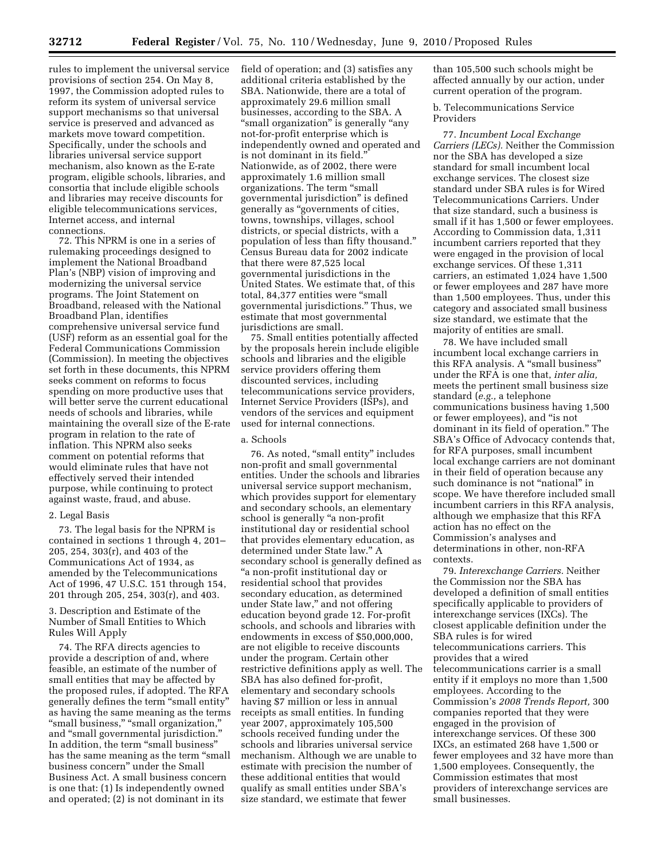rules to implement the universal service provisions of section 254. On May 8, 1997, the Commission adopted rules to reform its system of universal service support mechanisms so that universal service is preserved and advanced as markets move toward competition. Specifically, under the schools and libraries universal service support mechanism, also known as the E-rate program, eligible schools, libraries, and consortia that include eligible schools and libraries may receive discounts for eligible telecommunications services, Internet access, and internal connections.

72. This NPRM is one in a series of rulemaking proceedings designed to implement the National Broadband Plan's (NBP) vision of improving and modernizing the universal service programs. The Joint Statement on Broadband, released with the National Broadband Plan, identifies comprehensive universal service fund (USF) reform as an essential goal for the Federal Communications Commission (Commission). In meeting the objectives set forth in these documents, this NPRM seeks comment on reforms to focus spending on more productive uses that will better serve the current educational needs of schools and libraries, while maintaining the overall size of the E-rate program in relation to the rate of inflation. This NPRM also seeks comment on potential reforms that would eliminate rules that have not effectively served their intended purpose, while continuing to protect against waste, fraud, and abuse.

## 2. Legal Basis

73. The legal basis for the NPRM is contained in sections 1 through 4, 201– 205, 254, 303(r), and 403 of the Communications Act of 1934, as amended by the Telecommunications Act of 1996, 47 U.S.C. 151 through 154, 201 through 205, 254, 303(r), and 403.

3. Description and Estimate of the Number of Small Entities to Which Rules Will Apply

74. The RFA directs agencies to provide a description of and, where feasible, an estimate of the number of small entities that may be affected by the proposed rules, if adopted. The RFA generally defines the term ''small entity'' as having the same meaning as the terms "small business," "small organization," and ''small governmental jurisdiction.'' In addition, the term ''small business'' has the same meaning as the term ''small business concern'' under the Small Business Act. A small business concern is one that: (1) Is independently owned and operated; (2) is not dominant in its

field of operation; and (3) satisfies any additional criteria established by the SBA. Nationwide, there are a total of approximately 29.6 million small businesses, according to the SBA. A ''small organization'' is generally ''any not-for-profit enterprise which is independently owned and operated and is not dominant in its field.'' Nationwide, as of 2002, there were approximately 1.6 million small organizations. The term ''small governmental jurisdiction'' is defined generally as ''governments of cities, towns, townships, villages, school districts, or special districts, with a population of less than fifty thousand.'' Census Bureau data for 2002 indicate that there were 87,525 local governmental jurisdictions in the United States. We estimate that, of this total, 84,377 entities were ''small governmental jurisdictions.'' Thus, we estimate that most governmental jurisdictions are small.

75. Small entities potentially affected by the proposals herein include eligible schools and libraries and the eligible service providers offering them discounted services, including telecommunications service providers, Internet Service Providers (ISPs), and vendors of the services and equipment used for internal connections.

# a. Schools

76. As noted, ''small entity'' includes non-profit and small governmental entities. Under the schools and libraries universal service support mechanism, which provides support for elementary and secondary schools, an elementary school is generally ''a non-profit institutional day or residential school that provides elementary education, as determined under State law.'' A secondary school is generally defined as ''a non-profit institutional day or residential school that provides secondary education, as determined under State law,'' and not offering education beyond grade 12. For-profit schools, and schools and libraries with endowments in excess of \$50,000,000, are not eligible to receive discounts under the program. Certain other restrictive definitions apply as well. The SBA has also defined for-profit, elementary and secondary schools having \$7 million or less in annual receipts as small entities. In funding year 2007, approximately 105,500 schools received funding under the schools and libraries universal service mechanism. Although we are unable to estimate with precision the number of these additional entities that would qualify as small entities under SBA's size standard, we estimate that fewer

than 105,500 such schools might be affected annually by our action, under current operation of the program.

b. Telecommunications Service Providers

77. *Incumbent Local Exchange Carriers (LECs).* Neither the Commission nor the SBA has developed a size standard for small incumbent local exchange services. The closest size standard under SBA rules is for Wired Telecommunications Carriers. Under that size standard, such a business is small if it has 1,500 or fewer employees. According to Commission data, 1,311 incumbent carriers reported that they were engaged in the provision of local exchange services. Of these 1,311 carriers, an estimated 1,024 have 1,500 or fewer employees and 287 have more than 1,500 employees. Thus, under this category and associated small business size standard, we estimate that the majority of entities are small.

78. We have included small incumbent local exchange carriers in this RFA analysis. A ''small business'' under the RFA is one that, *inter alia,*  meets the pertinent small business size standard (*e.g.,* a telephone communications business having 1,500 or fewer employees), and ''is not dominant in its field of operation.'' The SBA's Office of Advocacy contends that, for RFA purposes, small incumbent local exchange carriers are not dominant in their field of operation because any such dominance is not "national" in scope. We have therefore included small incumbent carriers in this RFA analysis, although we emphasize that this RFA action has no effect on the Commission's analyses and determinations in other, non-RFA contexts.

79. *Interexchange Carriers.* Neither the Commission nor the SBA has developed a definition of small entities specifically applicable to providers of interexchange services (IXCs). The closest applicable definition under the SBA rules is for wired telecommunications carriers. This provides that a wired telecommunications carrier is a small entity if it employs no more than 1,500 employees. According to the Commission's *2008 Trends Report,* 300 companies reported that they were engaged in the provision of interexchange services. Of these 300 IXCs, an estimated 268 have 1,500 or fewer employees and 32 have more than 1,500 employees. Consequently, the Commission estimates that most providers of interexchange services are small businesses.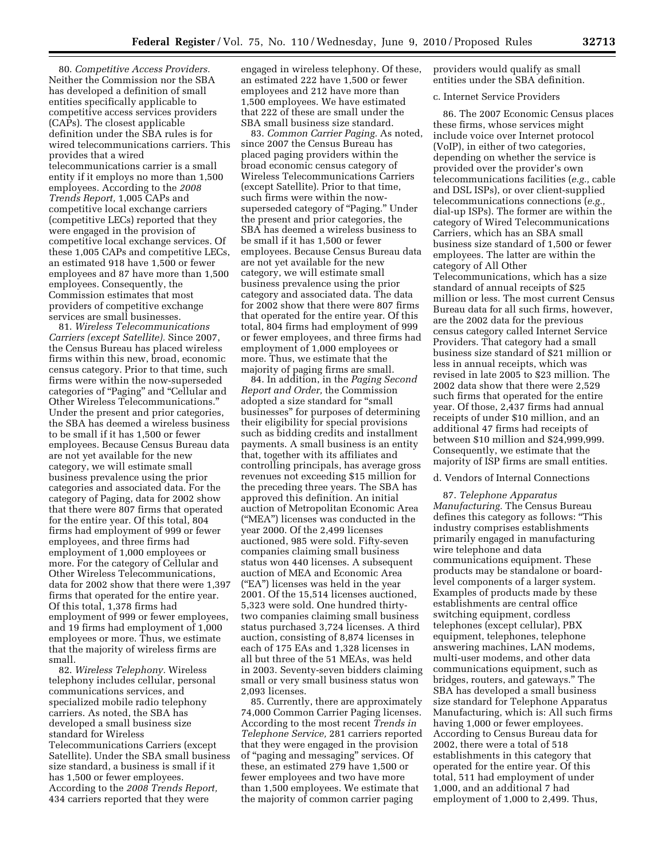80. *Competitive Access Providers.*  Neither the Commission nor the SBA has developed a definition of small entities specifically applicable to competitive access services providers (CAPs). The closest applicable definition under the SBA rules is for wired telecommunications carriers. This provides that a wired telecommunications carrier is a small entity if it employs no more than 1,500 employees. According to the *2008 Trends Report,* 1,005 CAPs and competitive local exchange carriers (competitive LECs) reported that they were engaged in the provision of competitive local exchange services. Of these 1,005 CAPs and competitive LECs, an estimated 918 have 1,500 or fewer employees and 87 have more than 1,500 employees. Consequently, the Commission estimates that most providers of competitive exchange services are small businesses.

81. *Wireless Telecommunications Carriers (except Satellite).* Since 2007, the Census Bureau has placed wireless firms within this new, broad, economic census category. Prior to that time, such firms were within the now-superseded categories of ''Paging'' and ''Cellular and Other Wireless Telecommunications.'' Under the present and prior categories, the SBA has deemed a wireless business to be small if it has 1,500 or fewer employees. Because Census Bureau data are not yet available for the new category, we will estimate small business prevalence using the prior categories and associated data. For the category of Paging, data for 2002 show that there were 807 firms that operated for the entire year. Of this total, 804 firms had employment of 999 or fewer employees, and three firms had employment of 1,000 employees or more. For the category of Cellular and Other Wireless Telecommunications, data for 2002 show that there were 1,397 firms that operated for the entire year. Of this total, 1,378 firms had employment of 999 or fewer employees, and 19 firms had employment of 1,000 employees or more. Thus, we estimate that the majority of wireless firms are small.

82. *Wireless Telephony.* Wireless telephony includes cellular, personal communications services, and specialized mobile radio telephony carriers. As noted, the SBA has developed a small business size standard for Wireless Telecommunications Carriers (except Satellite). Under the SBA small business size standard, a business is small if it has 1,500 or fewer employees. According to the *2008 Trends Report,*  434 carriers reported that they were

engaged in wireless telephony. Of these, an estimated 222 have 1,500 or fewer employees and 212 have more than 1,500 employees. We have estimated that 222 of these are small under the SBA small business size standard.

83. *Common Carrier Paging.* As noted, since 2007 the Census Bureau has placed paging providers within the broad economic census category of Wireless Telecommunications Carriers (except Satellite). Prior to that time, such firms were within the nowsuperseded category of "Paging." Under the present and prior categories, the SBA has deemed a wireless business to be small if it has 1,500 or fewer employees. Because Census Bureau data are not yet available for the new category, we will estimate small business prevalence using the prior category and associated data. The data for 2002 show that there were 807 firms that operated for the entire year. Of this total, 804 firms had employment of 999 or fewer employees, and three firms had employment of 1,000 employees or more. Thus, we estimate that the majority of paging firms are small.

84. In addition, in the *Paging Second Report and Order,* the Commission adopted a size standard for ''small businesses'' for purposes of determining their eligibility for special provisions such as bidding credits and installment payments. A small business is an entity that, together with its affiliates and controlling principals, has average gross revenues not exceeding \$15 million for the preceding three years. The SBA has approved this definition. An initial auction of Metropolitan Economic Area (''MEA'') licenses was conducted in the year 2000. Of the 2,499 licenses auctioned, 985 were sold. Fifty-seven companies claiming small business status won 440 licenses. A subsequent auction of MEA and Economic Area (''EA'') licenses was held in the year 2001. Of the 15,514 licenses auctioned, 5,323 were sold. One hundred thirtytwo companies claiming small business status purchased 3,724 licenses. A third auction, consisting of 8,874 licenses in each of 175 EAs and 1,328 licenses in all but three of the 51 MEAs, was held in 2003. Seventy-seven bidders claiming small or very small business status won 2,093 licenses.

85. Currently, there are approximately 74,000 Common Carrier Paging licenses. According to the most recent *Trends in Telephone Service,* 281 carriers reported that they were engaged in the provision of ''paging and messaging'' services. Of these, an estimated 279 have 1,500 or fewer employees and two have more than 1,500 employees. We estimate that the majority of common carrier paging

providers would qualify as small entities under the SBA definition.

## c. Internet Service Providers

86. The 2007 Economic Census places these firms, whose services might include voice over Internet protocol (VoIP), in either of two categories, depending on whether the service is provided over the provider's own telecommunications facilities (*e.g.,* cable and DSL ISPs), or over client-supplied telecommunications connections (*e.g.,*  dial-up ISPs). The former are within the category of Wired Telecommunications Carriers, which has an SBA small business size standard of 1,500 or fewer employees. The latter are within the category of All Other Telecommunications, which has a size standard of annual receipts of \$25 million or less. The most current Census Bureau data for all such firms, however, are the 2002 data for the previous census category called Internet Service Providers. That category had a small business size standard of \$21 million or less in annual receipts, which was revised in late 2005 to \$23 million. The 2002 data show that there were 2,529 such firms that operated for the entire year. Of those, 2,437 firms had annual receipts of under \$10 million, and an additional 47 firms had receipts of between \$10 million and \$24,999,999. Consequently, we estimate that the majority of ISP firms are small entities.

## d. Vendors of Internal Connections

87. *Telephone Apparatus Manufacturing.* The Census Bureau defines this category as follows: ''This industry comprises establishments primarily engaged in manufacturing wire telephone and data communications equipment. These products may be standalone or boardlevel components of a larger system. Examples of products made by these establishments are central office switching equipment, cordless telephones (except cellular), PBX equipment, telephones, telephone answering machines, LAN modems, multi-user modems, and other data communications equipment, such as bridges, routers, and gateways.'' The SBA has developed a small business size standard for Telephone Apparatus Manufacturing, which is: All such firms having 1,000 or fewer employees. According to Census Bureau data for 2002, there were a total of 518 establishments in this category that operated for the entire year. Of this total, 511 had employment of under 1,000, and an additional 7 had employment of 1,000 to 2,499. Thus,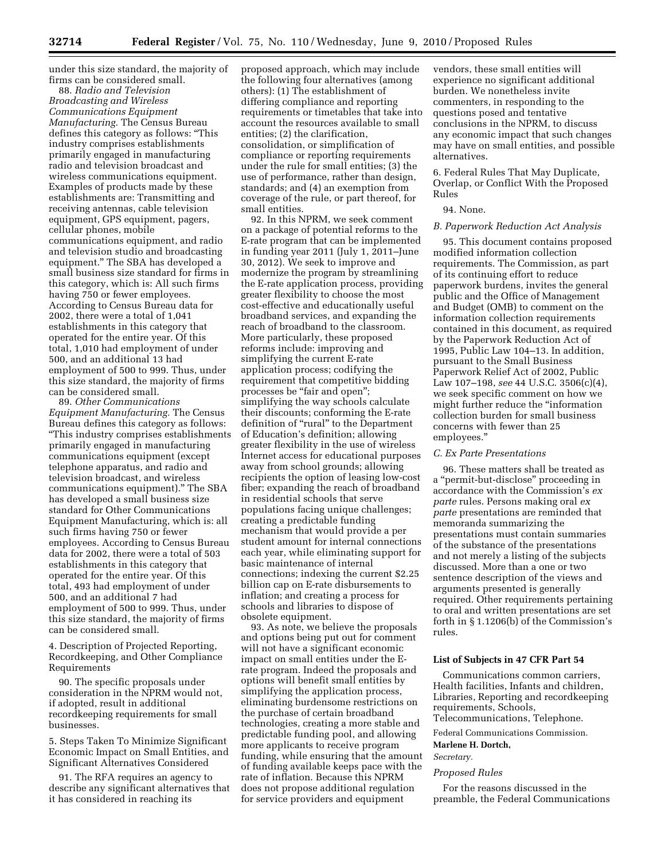under this size standard, the majority of firms can be considered small.

88. *Radio and Television Broadcasting and Wireless Communications Equipment Manufacturing.* The Census Bureau defines this category as follows: ''This industry comprises establishments primarily engaged in manufacturing radio and television broadcast and wireless communications equipment. Examples of products made by these establishments are: Transmitting and receiving antennas, cable television equipment, GPS equipment, pagers, cellular phones, mobile communications equipment, and radio and television studio and broadcasting equipment.'' The SBA has developed a small business size standard for firms in this category, which is: All such firms having 750 or fewer employees. According to Census Bureau data for 2002, there were a total of 1,041 establishments in this category that operated for the entire year. Of this total, 1,010 had employment of under 500, and an additional 13 had employment of 500 to 999. Thus, under this size standard, the majority of firms can be considered small.

89. *Other Communications Equipment Manufacturing.* The Census Bureau defines this category as follows: ''This industry comprises establishments primarily engaged in manufacturing communications equipment (except telephone apparatus, and radio and television broadcast, and wireless communications equipment).'' The SBA has developed a small business size standard for Other Communications Equipment Manufacturing, which is: all such firms having 750 or fewer employees. According to Census Bureau data for 2002, there were a total of 503 establishments in this category that operated for the entire year. Of this total, 493 had employment of under 500, and an additional 7 had employment of 500 to 999. Thus, under this size standard, the majority of firms can be considered small.

4. Description of Projected Reporting, Recordkeeping, and Other Compliance Requirements

90. The specific proposals under consideration in the NPRM would not, if adopted, result in additional recordkeeping requirements for small businesses.

5. Steps Taken To Minimize Significant Economic Impact on Small Entities, and Significant Alternatives Considered

91. The RFA requires an agency to describe any significant alternatives that it has considered in reaching its

proposed approach, which may include the following four alternatives (among others): (1) The establishment of differing compliance and reporting requirements or timetables that take into account the resources available to small entities; (2) the clarification, consolidation, or simplification of compliance or reporting requirements under the rule for small entities; (3) the use of performance, rather than design, standards; and (4) an exemption from coverage of the rule, or part thereof, for small entities.

92. In this NPRM, we seek comment on a package of potential reforms to the E-rate program that can be implemented in funding year 2011 (July 1, 2011–June 30, 2012). We seek to improve and modernize the program by streamlining the E-rate application process, providing greater flexibility to choose the most cost-effective and educationally useful broadband services, and expanding the reach of broadband to the classroom. More particularly, these proposed reforms include: improving and simplifying the current E-rate application process; codifying the requirement that competitive bidding processes be "fair and open"; simplifying the way schools calculate their discounts; conforming the E-rate definition of "rural" to the Department of Education's definition; allowing greater flexibility in the use of wireless Internet access for educational purposes away from school grounds; allowing recipients the option of leasing low-cost fiber; expanding the reach of broadband in residential schools that serve populations facing unique challenges; creating a predictable funding mechanism that would provide a per student amount for internal connections each year, while eliminating support for basic maintenance of internal connections; indexing the current \$2.25 billion cap on E-rate disbursements to inflation; and creating a process for schools and libraries to dispose of obsolete equipment.

93. As note, we believe the proposals and options being put out for comment will not have a significant economic impact on small entities under the Erate program. Indeed the proposals and options will benefit small entities by simplifying the application process, eliminating burdensome restrictions on the purchase of certain broadband technologies, creating a more stable and predictable funding pool, and allowing more applicants to receive program funding, while ensuring that the amount of funding available keeps pace with the rate of inflation. Because this NPRM does not propose additional regulation for service providers and equipment

vendors, these small entities will experience no significant additional burden. We nonetheless invite commenters, in responding to the questions posed and tentative conclusions in the NPRM, to discuss any economic impact that such changes may have on small entities, and possible alternatives.

6. Federal Rules That May Duplicate, Overlap, or Conflict With the Proposed Rules

# 94. None.

## *B. Paperwork Reduction Act Analysis*

95. This document contains proposed modified information collection requirements. The Commission, as part of its continuing effort to reduce paperwork burdens, invites the general public and the Office of Management and Budget (OMB) to comment on the information collection requirements contained in this document, as required by the Paperwork Reduction Act of 1995, Public Law 104–13. In addition, pursuant to the Small Business Paperwork Relief Act of 2002, Public Law 107–198, *see* 44 U.S.C. 3506(c)(4), we seek specific comment on how we might further reduce the ''information collection burden for small business concerns with fewer than 25 employees.''

# *C. Ex Parte Presentations*

96. These matters shall be treated as a ''permit-but-disclose'' proceeding in accordance with the Commission's *ex parte* rules. Persons making oral *ex parte* presentations are reminded that memoranda summarizing the presentations must contain summaries of the substance of the presentations and not merely a listing of the subjects discussed. More than a one or two sentence description of the views and arguments presented is generally required. Other requirements pertaining to oral and written presentations are set forth in § 1.1206(b) of the Commission's rules.

## **List of Subjects in 47 CFR Part 54**

Communications common carriers, Health facilities, Infants and children, Libraries, Reporting and recordkeeping requirements, Schools,

Telecommunications, Telephone.

# Federal Communications Commission. **Marlene H. Dortch,**

*Secretary.* 

#### *Proposed Rules*

For the reasons discussed in the preamble, the Federal Communications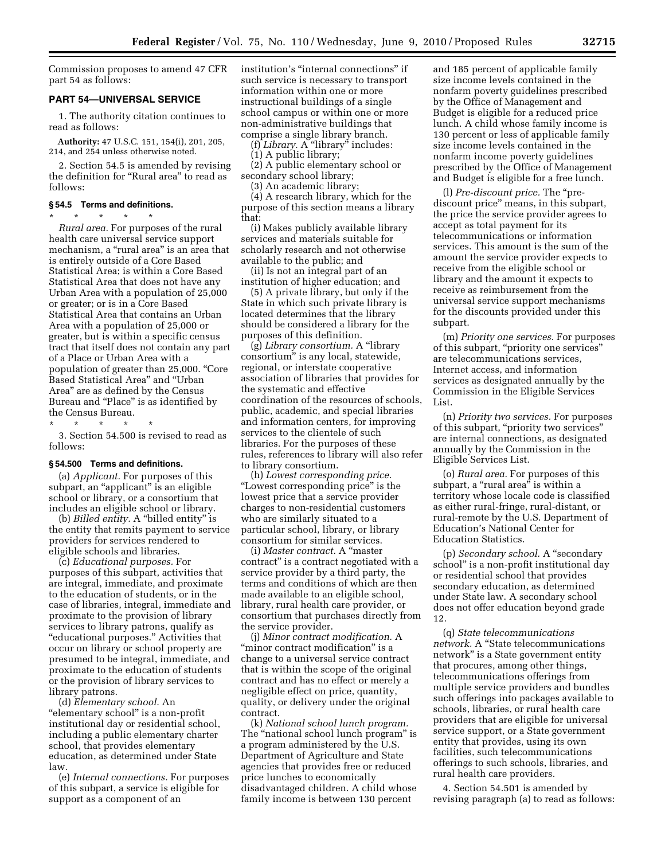Commission proposes to amend 47 CFR part 54 as follows:

# **PART 54—UNIVERSAL SERVICE**

1. The authority citation continues to read as follows:

**Authority:** 47 U.S.C. 151, 154(i), 201, 205, 214, and 254 unless otherwise noted.

2. Section 54.5 is amended by revising the definition for ''Rural area'' to read as follows:

# **§ 54.5 Terms and definitions.**

\* \* \* \* \* *Rural area.* For purposes of the rural health care universal service support mechanism, a "rural area" is an area that is entirely outside of a Core Based Statistical Area; is within a Core Based Statistical Area that does not have any Urban Area with a population of 25,000 or greater; or is in a Core Based Statistical Area that contains an Urban Area with a population of 25,000 or greater, but is within a specific census tract that itself does not contain any part of a Place or Urban Area with a population of greater than 25,000. ''Core Based Statistical Area'' and ''Urban Area'' are as defined by the Census Bureau and "Place" is as identified by the Census Bureau.

\* \* \* \* \* 3. Section 54.500 is revised to read as follows:

#### **§ 54.500 Terms and definitions.**

(a) *Applicant.* For purposes of this subpart, an "applicant" is an eligible school or library, or a consortium that includes an eligible school or library.

(b) *Billed entity*. A "billed entity" is the entity that remits payment to service providers for services rendered to eligible schools and libraries.

(c) *Educational purposes.* For purposes of this subpart, activities that are integral, immediate, and proximate to the education of students, or in the case of libraries, integral, immediate and proximate to the provision of library services to library patrons, qualify as "educational purposes." Activities that occur on library or school property are presumed to be integral, immediate, and proximate to the education of students or the provision of library services to library patrons.

(d) *Elementary school.* An "elementary school" is a non-profit institutional day or residential school, including a public elementary charter school, that provides elementary education, as determined under State law.

(e) *Internal connections.* For purposes of this subpart, a service is eligible for support as a component of an

institution's "internal connections" if such service is necessary to transport information within one or more instructional buildings of a single school campus or within one or more non-administrative buildings that comprise a single library branch.

(f) *Library.* A ''library'' includes:

- (1) A public library;
- (2) A public elementary school or secondary school library;
- (3) An academic library;

(4) A research library, which for the purpose of this section means a library that:

(i) Makes publicly available library services and materials suitable for scholarly research and not otherwise available to the public; and

(ii) Is not an integral part of an institution of higher education; and

(5) A private library, but only if the State in which such private library is located determines that the library should be considered a library for the purposes of this definition.

(g) *Library consortium.* A ''library consortium'' is any local, statewide, regional, or interstate cooperative association of libraries that provides for the systematic and effective coordination of the resources of schools, public, academic, and special libraries and information centers, for improving services to the clientele of such libraries. For the purposes of these rules, references to library will also refer to library consortium.

(h) *Lowest corresponding price.*  "Lowest corresponding price" is the lowest price that a service provider charges to non-residential customers who are similarly situated to a particular school, library, or library consortium for similar services.

(i) *Master contract.* A ''master contract'' is a contract negotiated with a service provider by a third party, the terms and conditions of which are then made available to an eligible school, library, rural health care provider, or consortium that purchases directly from the service provider.

(j) *Minor contract modification.* A "minor contract modification" is a change to a universal service contract that is within the scope of the original contract and has no effect or merely a negligible effect on price, quantity, quality, or delivery under the original contract.

(k) *National school lunch program.*  The "national school lunch program" is a program administered by the U.S. Department of Agriculture and State agencies that provides free or reduced price lunches to economically disadvantaged children. A child whose family income is between 130 percent

and 185 percent of applicable family size income levels contained in the nonfarm poverty guidelines prescribed by the Office of Management and Budget is eligible for a reduced price lunch. A child whose family income is 130 percent or less of applicable family size income levels contained in the nonfarm income poverty guidelines prescribed by the Office of Management and Budget is eligible for a free lunch.

(l) *Pre-discount price.* The ''prediscount price'' means, in this subpart, the price the service provider agrees to accept as total payment for its telecommunications or information services. This amount is the sum of the amount the service provider expects to receive from the eligible school or library and the amount it expects to receive as reimbursement from the universal service support mechanisms for the discounts provided under this subpart.

(m) *Priority one services.* For purposes of this subpart, ''priority one services'' are telecommunications services, Internet access, and information services as designated annually by the Commission in the Eligible Services List.

(n) *Priority two services.* For purposes of this subpart, ''priority two services'' are internal connections, as designated annually by the Commission in the Eligible Services List.

(o) *Rural area.* For purposes of this subpart, a "rural area" is within a territory whose locale code is classified as either rural-fringe, rural-distant, or rural-remote by the U.S. Department of Education's National Center for Education Statistics.

(p) *Secondary school.* A ''secondary school'' is a non-profit institutional day or residential school that provides secondary education, as determined under State law. A secondary school does not offer education beyond grade 12.

(q) *State telecommunications network.* A ''State telecommunications network'' is a State government entity that procures, among other things, telecommunications offerings from multiple service providers and bundles such offerings into packages available to schools, libraries, or rural health care providers that are eligible for universal service support, or a State government entity that provides, using its own facilities, such telecommunications offerings to such schools, libraries, and rural health care providers.

4. Section 54.501 is amended by revising paragraph (a) to read as follows: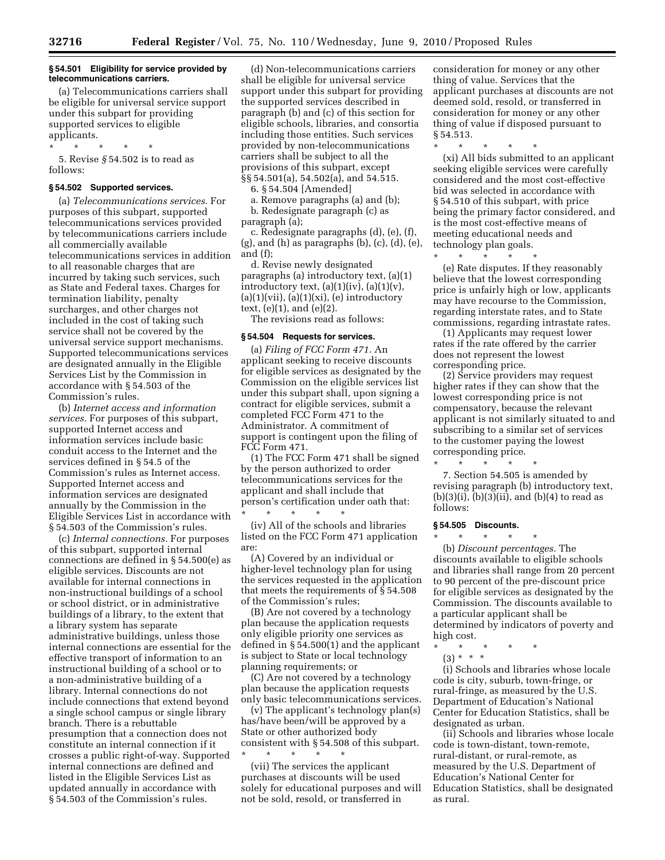## **§ 54.501 Eligibility for service provided by telecommunications carriers.**

(a) Telecommunications carriers shall be eligible for universal service support under this subpart for providing supported services to eligible applicants.

\* \* \* \* \* 5. Revise *§* 54.502 is to read as follows:

#### **§ 54.502 Supported services.**

(a) *Telecommunications services.* For purposes of this subpart, supported telecommunications services provided by telecommunications carriers include all commercially available telecommunications services in addition to all reasonable charges that are incurred by taking such services, such as State and Federal taxes. Charges for termination liability, penalty surcharges, and other charges not included in the cost of taking such service shall not be covered by the universal service support mechanisms. Supported telecommunications services are designated annually in the Eligible Services List by the Commission in accordance with § 54.503 of the Commission's rules.

(b) *Internet access and information services.* For purposes of this subpart, supported Internet access and information services include basic conduit access to the Internet and the services defined in § 54.5 of the Commission's rules as Internet access. Supported Internet access and information services are designated annually by the Commission in the Eligible Services List in accordance with § 54.503 of the Commission's rules.

(c) *Internal connections.* For purposes of this subpart, supported internal connections are defined in § 54.500(e) as eligible services. Discounts are not available for internal connections in non-instructional buildings of a school or school district, or in administrative buildings of a library, to the extent that a library system has separate administrative buildings, unless those internal connections are essential for the effective transport of information to an instructional building of a school or to a non-administrative building of a library. Internal connections do not include connections that extend beyond a single school campus or single library branch. There is a rebuttable presumption that a connection does not constitute an internal connection if it crosses a public right-of-way. Supported internal connections are defined and listed in the Eligible Services List as updated annually in accordance with § 54.503 of the Commission's rules.

(d) Non-telecommunications carriers shall be eligible for universal service support under this subpart for providing the supported services described in paragraph (b) and (c) of this section for eligible schools, libraries, and consortia including those entities. Such services provided by non-telecommunications carriers shall be subject to all the provisions of this subpart, except §§ 54.501(a), 54.502(a), and 54.515.

6. § 54.504 [Amended]

a. Remove paragraphs (a) and (b); b. Redesignate paragraph (c) as paragraph (a);

c. Redesignate paragraphs (d), (e), (f), (g), and (h) as paragraphs (b), (c), (d), (e), and (f);

d. Revise newly designated paragraphs (a) introductory text, (a)(1) introductory text,  $(a)(1)(iv)$ ,  $(a)(1)(v)$ ,  $(a)(1)(vii), (a)(1)(xi), (e)$  introductory text, (e)(1), and (e)(2).

The revisions read as follows:

#### **§ 54.504 Requests for services.**

(a) *Filing of FCC Form 471.* An applicant seeking to receive discounts for eligible services as designated by the Commission on the eligible services list under this subpart shall, upon signing a contract for eligible services, submit a completed FCC Form 471 to the Administrator. A commitment of support is contingent upon the filing of FCC Form 471.

(1) The FCC Form 471 shall be signed by the person authorized to order telecommunications services for the applicant and shall include that person's certification under oath that: \* \* \* \* \*

(iv) All of the schools and libraries listed on the FCC Form 471 application are:

(A) Covered by an individual or higher-level technology plan for using the services requested in the application that meets the requirements of § 54.508 of the Commission's rules;

(B) Are not covered by a technology plan because the application requests only eligible priority one services as defined in § 54.500(1) and the applicant is subject to State or local technology planning requirements; or

(C) Are not covered by a technology plan because the application requests only basic telecommunications services.

(v) The applicant's technology plan(s) has/have been/will be approved by a State or other authorized body consistent with § 54.508 of this subpart. \* \* \* \* \*

(vii) The services the applicant purchases at discounts will be used solely for educational purposes and will not be sold, resold, or transferred in

consideration for money or any other thing of value. Services that the applicant purchases at discounts are not deemed sold, resold, or transferred in consideration for money or any other thing of value if disposed pursuant to § 54.513.

\* \* \* \* \*

(xi) All bids submitted to an applicant seeking eligible services were carefully considered and the most cost-effective bid was selected in accordance with § 54.510 of this subpart, with price being the primary factor considered, and is the most cost-effective means of meeting educational needs and technology plan goals.

\* \* \* \* \*

(e) Rate disputes. If they reasonably believe that the lowest corresponding price is unfairly high or low, applicants may have recourse to the Commission, regarding interstate rates, and to State commissions, regarding intrastate rates.

(1) Applicants may request lower rates if the rate offered by the carrier does not represent the lowest corresponding price.

(2) Service providers may request higher rates if they can show that the lowest corresponding price is not compensatory, because the relevant applicant is not similarly situated to and subscribing to a similar set of services to the customer paying the lowest corresponding price.

7. Section 54.505 is amended by revising paragraph (b) introductory text,  $(b)(3)(i)$ ,  $(b)(3)(ii)$ , and  $(b)(4)$  to read as follows:

## **§ 54.505 Discounts.**

\* \* \* \* \*

\* \* \* \* \* (b) *Discount percentages.* The discounts available to eligible schools and libraries shall range from 20 percent to 90 percent of the pre-discount price for eligible services as designated by the Commission. The discounts available to a particular applicant shall be determined by indicators of poverty and high cost.

- \* \* \* \* \*
- (3) \* \* \*

(i) Schools and libraries whose locale code is city, suburb, town-fringe, or rural-fringe, as measured by the U.S. Department of Education's National Center for Education Statistics, shall be designated as urban.

(ii) Schools and libraries whose locale code is town-distant, town-remote, rural-distant, or rural-remote, as measured by the U.S. Department of Education's National Center for Education Statistics, shall be designated as rural.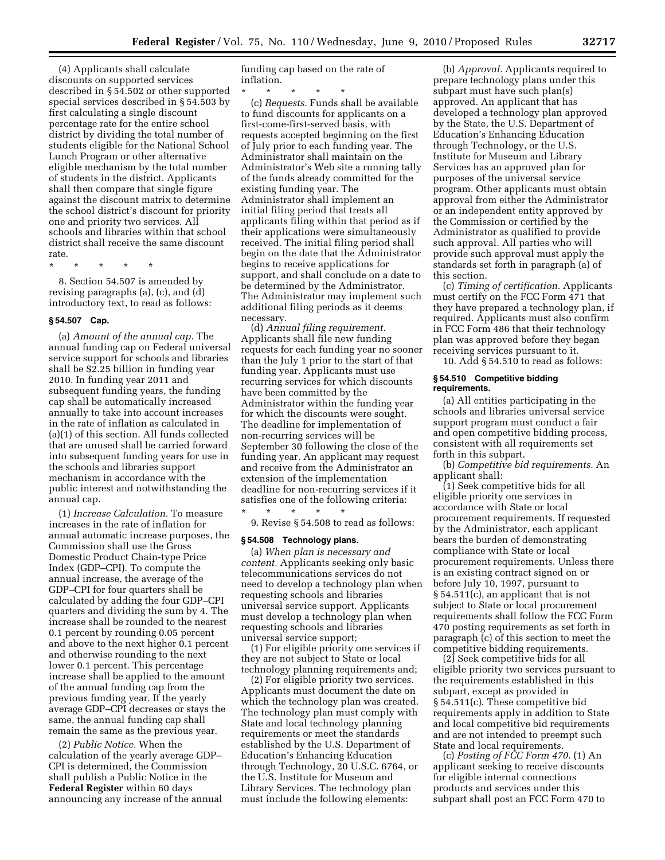(4) Applicants shall calculate discounts on supported services described in § 54.502 or other supported special services described in § 54.503 by first calculating a single discount percentage rate for the entire school district by dividing the total number of students eligible for the National School Lunch Program or other alternative eligible mechanism by the total number of students in the district. Applicants shall then compare that single figure against the discount matrix to determine the school district's discount for priority one and priority two services. All schools and libraries within that school district shall receive the same discount rate.

\* \* \* \* \*

8. Section 54.507 is amended by revising paragraphs (a), (c), and (d) introductory text, to read as follows:

# **§ 54.507 Cap.**

(a) *Amount of the annual cap.* The annual funding cap on Federal universal service support for schools and libraries shall be \$2.25 billion in funding year 2010. In funding year 2011 and subsequent funding years, the funding cap shall be automatically increased annually to take into account increases in the rate of inflation as calculated in (a)(1) of this section. All funds collected that are unused shall be carried forward into subsequent funding years for use in the schools and libraries support mechanism in accordance with the public interest and notwithstanding the annual cap.

(1) *Increase Calculation.* To measure increases in the rate of inflation for annual automatic increase purposes, the Commission shall use the Gross Domestic Product Chain-type Price Index (GDP–CPI). To compute the annual increase, the average of the GDP–CPI for four quarters shall be calculated by adding the four GDP–CPI quarters and dividing the sum by 4. The increase shall be rounded to the nearest 0.1 percent by rounding 0.05 percent and above to the next higher 0.1 percent and otherwise rounding to the next lower 0.1 percent. This percentage increase shall be applied to the amount of the annual funding cap from the previous funding year. If the yearly average GDP–CPI decreases or stays the same, the annual funding cap shall remain the same as the previous year.

(2) *Public Notice.* When the calculation of the yearly average GDP– CPI is determined, the Commission shall publish a Public Notice in the **Federal Register** within 60 days announcing any increase of the annual funding cap based on the rate of inflation.

\* \* \* \* \* (c) *Requests.* Funds shall be available to fund discounts for applicants on a first-come-first-served basis, with requests accepted beginning on the first of July prior to each funding year. The Administrator shall maintain on the Administrator's Web site a running tally of the funds already committed for the existing funding year. The Administrator shall implement an initial filing period that treats all applicants filing within that period as if their applications were simultaneously received. The initial filing period shall begin on the date that the Administrator begins to receive applications for support, and shall conclude on a date to be determined by the Administrator. The Administrator may implement such additional filing periods as it deems necessary.

(d) *Annual filing requirement.*  Applicants shall file new funding requests for each funding year no sooner than the July 1 prior to the start of that funding year. Applicants must use recurring services for which discounts have been committed by the Administrator within the funding year for which the discounts were sought. The deadline for implementation of non-recurring services will be September 30 following the close of the funding year. An applicant may request and receive from the Administrator an extension of the implementation deadline for non-recurring services if it satisfies one of the following criteria: \* \* \* \* \*

9. Revise § 54.508 to read as follows:

# **§ 54.508 Technology plans.**

(a) *When plan is necessary and content.* Applicants seeking only basic telecommunications services do not need to develop a technology plan when requesting schools and libraries universal service support. Applicants must develop a technology plan when requesting schools and libraries universal service support;

(1) For eligible priority one services if they are not subject to State or local technology planning requirements and;

(2) For eligible priority two services. Applicants must document the date on which the technology plan was created. The technology plan must comply with State and local technology planning requirements or meet the standards established by the U.S. Department of Education's Enhancing Education through Technology, 20 U.S.C. 6764, or the U.S. Institute for Museum and Library Services. The technology plan must include the following elements:

(b) *Approval.* Applicants required to prepare technology plans under this subpart must have such plan(s) approved. An applicant that has developed a technology plan approved by the State, the U.S. Department of Education's Enhancing Education through Technology, or the U.S. Institute for Museum and Library Services has an approved plan for purposes of the universal service program. Other applicants must obtain approval from either the Administrator or an independent entity approved by the Commission or certified by the Administrator as qualified to provide such approval. All parties who will provide such approval must apply the standards set forth in paragraph (a) of this section.

(c) *Timing of certification.* Applicants must certify on the FCC Form 471 that they have prepared a technology plan, if required. Applicants must also confirm in FCC Form 486 that their technology plan was approved before they began receiving services pursuant to it.

# 10. Add § 54.510 to read as follows:

### **§ 54.510 Competitive bidding requirements.**

(a) All entities participating in the schools and libraries universal service support program must conduct a fair and open competitive bidding process, consistent with all requirements set forth in this subpart.

(b) *Competitive bid requirements.* An applicant shall:

(1) Seek competitive bids for all eligible priority one services in accordance with State or local procurement requirements. If requested by the Administrator, each applicant bears the burden of demonstrating compliance with State or local procurement requirements. Unless there is an existing contract signed on or before July 10, 1997, pursuant to § 54.511(c), an applicant that is not subject to State or local procurement requirements shall follow the FCC Form 470 posting requirements as set forth in paragraph (c) of this section to meet the competitive bidding requirements.

(2) Seek competitive bids for all eligible priority two services pursuant to the requirements established in this subpart, except as provided in § 54.511(c). These competitive bid requirements apply in addition to State and local competitive bid requirements and are not intended to preempt such State and local requirements.

(c) *Posting of FCC Form 470.* (1) An applicant seeking to receive discounts for eligible internal connections products and services under this subpart shall post an FCC Form 470 to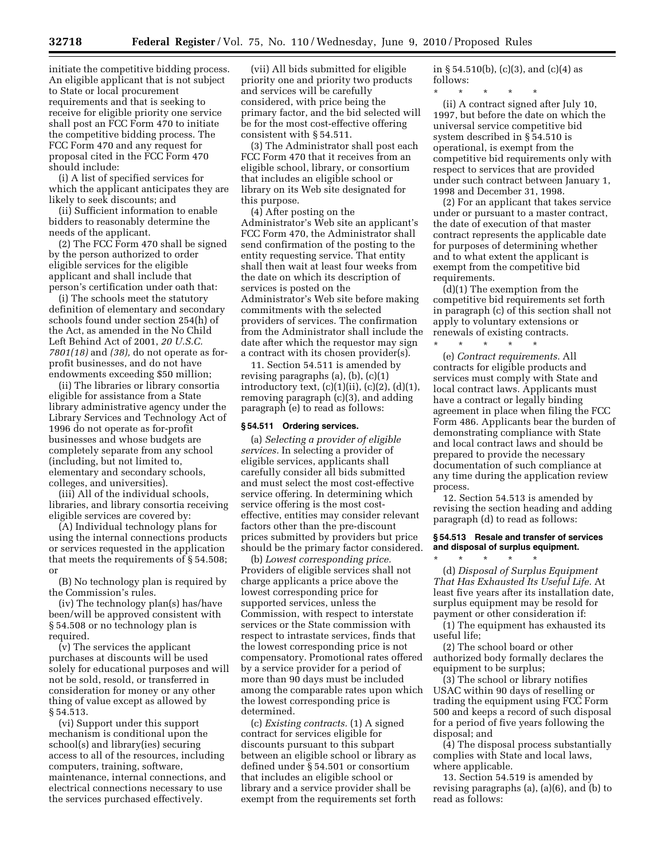initiate the competitive bidding process. An eligible applicant that is not subject to State or local procurement requirements and that is seeking to receive for eligible priority one service shall post an FCC Form 470 to initiate the competitive bidding process. The FCC Form 470 and any request for proposal cited in the FCC Form 470 should include:

(i) A list of specified services for which the applicant anticipates they are likely to seek discounts; and

(ii) Sufficient information to enable bidders to reasonably determine the needs of the applicant.

(2) The FCC Form 470 shall be signed by the person authorized to order eligible services for the eligible applicant and shall include that person's certification under oath that:

(i) The schools meet the statutory definition of elementary and secondary schools found under section 254(h) of the Act, as amended in the No Child Left Behind Act of 2001, *20 U.S.C. 7801(18)* and *(38),* do not operate as forprofit businesses, and do not have endowments exceeding \$50 million;

(ii) The libraries or library consortia eligible for assistance from a State library administrative agency under the Library Services and Technology Act of 1996 do not operate as for-profit businesses and whose budgets are completely separate from any school (including, but not limited to, elementary and secondary schools, colleges, and universities).

(iii) All of the individual schools, libraries, and library consortia receiving eligible services are covered by:

(A) Individual technology plans for using the internal connections products or services requested in the application that meets the requirements of § 54.508; or

(B) No technology plan is required by the Commission's rules.

(iv) The technology plan(s) has/have been/will be approved consistent with § 54.508 or no technology plan is required.

(v) The services the applicant purchases at discounts will be used solely for educational purposes and will not be sold, resold, or transferred in consideration for money or any other thing of value except as allowed by § 54.513.

(vi) Support under this support mechanism is conditional upon the school(s) and library(ies) securing access to all of the resources, including computers, training, software, maintenance, internal connections, and electrical connections necessary to use the services purchased effectively.

(vii) All bids submitted for eligible priority one and priority two products and services will be carefully considered, with price being the primary factor, and the bid selected will be for the most cost-effective offering consistent with § 54.511.

(3) The Administrator shall post each FCC Form 470 that it receives from an eligible school, library, or consortium that includes an eligible school or library on its Web site designated for this purpose.

(4) After posting on the Administrator's Web site an applicant's FCC Form 470, the Administrator shall send confirmation of the posting to the entity requesting service. That entity shall then wait at least four weeks from the date on which its description of services is posted on the Administrator's Web site before making commitments with the selected providers of services. The confirmation from the Administrator shall include the date after which the requestor may sign a contract with its chosen provider(s).

11. Section 54.511 is amended by revising paragraphs (a), (b), (c)(1) introductory text,  $(c)(1)(ii)$ ,  $(c)(2)$ ,  $(d)(1)$ , removing paragraph (c)(3), and adding paragraph (e) to read as follows:

#### **§ 54.511 Ordering services.**

(a) *Selecting a provider of eligible services.* In selecting a provider of eligible services, applicants shall carefully consider all bids submitted and must select the most cost-effective service offering. In determining which service offering is the most costeffective, entities may consider relevant factors other than the pre-discount prices submitted by providers but price should be the primary factor considered.

(b) *Lowest corresponding price.*  Providers of eligible services shall not charge applicants a price above the lowest corresponding price for supported services, unless the Commission, with respect to interstate services or the State commission with respect to intrastate services, finds that the lowest corresponding price is not compensatory. Promotional rates offered by a service provider for a period of more than 90 days must be included among the comparable rates upon which the lowest corresponding price is determined.

(c) *Existing contracts.* (1) A signed contract for services eligible for discounts pursuant to this subpart between an eligible school or library as defined under § 54.501 or consortium that includes an eligible school or library and a service provider shall be exempt from the requirements set forth in § 54.510(b), (c)(3), and (c)(4) as follows:

\* \* \* \* \* (ii) A contract signed after July 10, 1997, but before the date on which the universal service competitive bid system described in § 54.510 is operational, is exempt from the competitive bid requirements only with respect to services that are provided under such contract between January 1, 1998 and December 31, 1998.

(2) For an applicant that takes service under or pursuant to a master contract, the date of execution of that master contract represents the applicable date for purposes of determining whether and to what extent the applicant is exempt from the competitive bid requirements.

(d)(1) The exemption from the competitive bid requirements set forth in paragraph (c) of this section shall not apply to voluntary extensions or renewals of existing contracts.

\* \* \* \* \* (e) *Contract requirements.* All contracts for eligible products and services must comply with State and local contract laws. Applicants must have a contract or legally binding agreement in place when filing the FCC Form 486. Applicants bear the burden of demonstrating compliance with State and local contract laws and should be prepared to provide the necessary documentation of such compliance at any time during the application review process.

12. Section 54.513 is amended by revising the section heading and adding paragraph (d) to read as follows:

# **§ 54.513 Resale and transfer of services and disposal of surplus equipment.**

\* \* \* \* \* (d) *Disposal of Surplus Equipment That Has Exhausted Its Useful Life.* At least five years after its installation date, surplus equipment may be resold for payment or other consideration if:

(1) The equipment has exhausted its useful life;

(2) The school board or other authorized body formally declares the equipment to be surplus;

(3) The school or library notifies USAC within 90 days of reselling or trading the equipment using FCC Form 500 and keeps a record of such disposal for a period of five years following the disposal; and

(4) The disposal process substantially complies with State and local laws, where applicable.

13. Section 54.519 is amended by revising paragraphs (a), (a)(6), and (b) to read as follows: